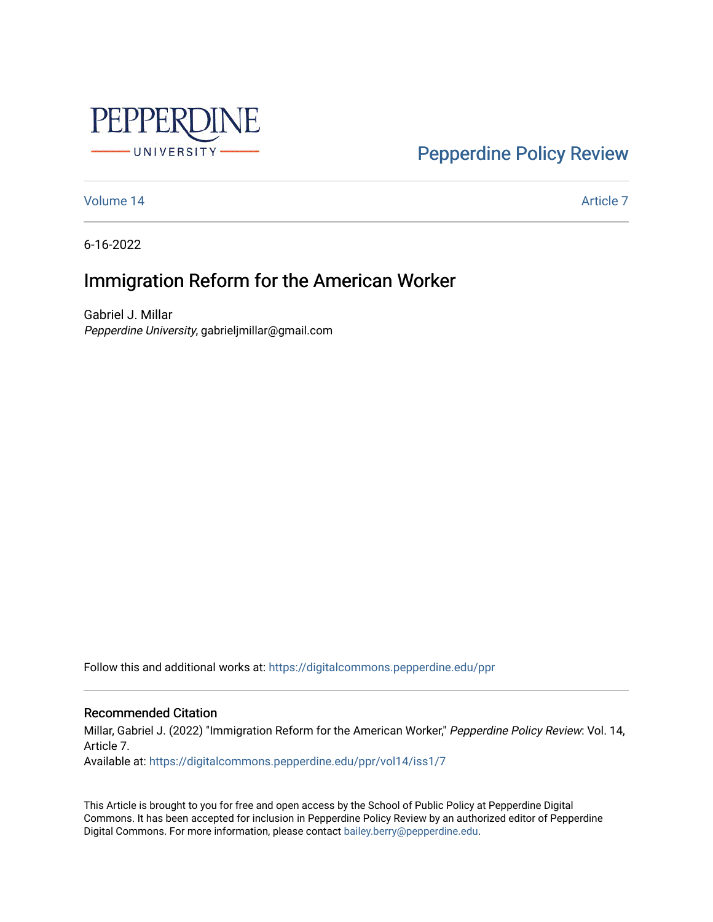

[Pepperdine Policy Review](https://digitalcommons.pepperdine.edu/ppr) 

[Volume 14](https://digitalcommons.pepperdine.edu/ppr/vol14) Article 7

6-16-2022

# Immigration Reform for the American Worker

Gabriel J. Millar Pepperdine University, gabrieljmillar@gmail.com

Follow this and additional works at: [https://digitalcommons.pepperdine.edu/ppr](https://digitalcommons.pepperdine.edu/ppr?utm_source=digitalcommons.pepperdine.edu%2Fppr%2Fvol14%2Fiss1%2F7&utm_medium=PDF&utm_campaign=PDFCoverPages)

Recommended Citation

Millar, Gabriel J. (2022) "Immigration Reform for the American Worker," Pepperdine Policy Review: Vol. 14, Article 7.

Available at: [https://digitalcommons.pepperdine.edu/ppr/vol14/iss1/7](https://digitalcommons.pepperdine.edu/ppr/vol14/iss1/7?utm_source=digitalcommons.pepperdine.edu%2Fppr%2Fvol14%2Fiss1%2F7&utm_medium=PDF&utm_campaign=PDFCoverPages)

This Article is brought to you for free and open access by the School of Public Policy at Pepperdine Digital Commons. It has been accepted for inclusion in Pepperdine Policy Review by an authorized editor of Pepperdine Digital Commons. For more information, please contact [bailey.berry@pepperdine.edu.](mailto:bailey.berry@pepperdine.edu)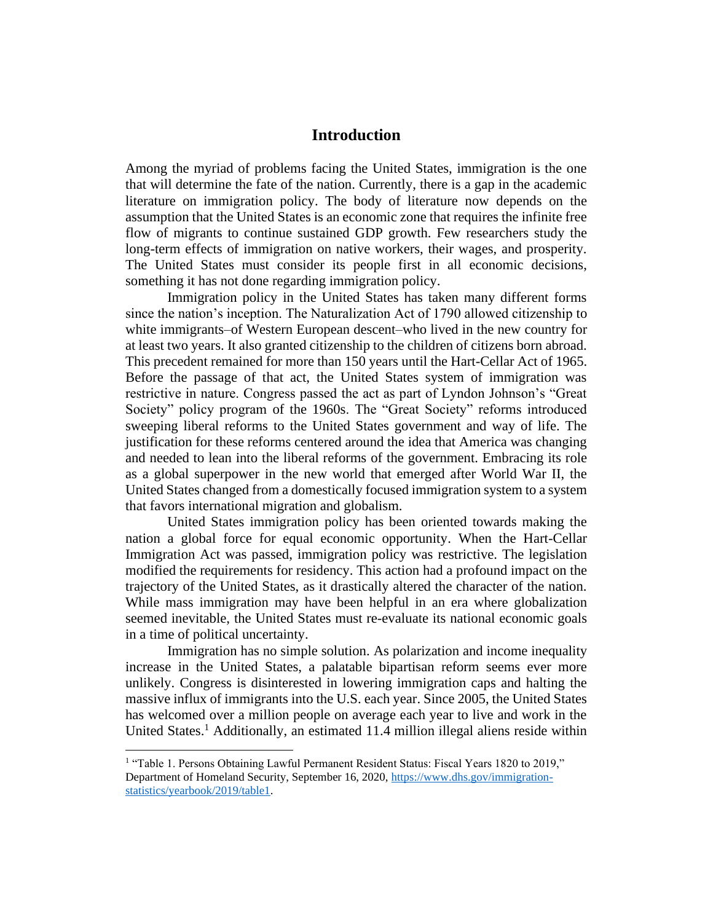# **Introduction**

Among the myriad of problems facing the United States, immigration is the one that will determine the fate of the nation. Currently, there is a gap in the academic literature on immigration policy. The body of literature now depends on the assumption that the United States is an economic zone that requires the infinite free flow of migrants to continue sustained GDP growth. Few researchers study the long-term effects of immigration on native workers, their wages, and prosperity. The United States must consider its people first in all economic decisions, something it has not done regarding immigration policy.

Immigration policy in the United States has taken many different forms since the nation's inception. The Naturalization Act of 1790 allowed citizenship to white immigrants–of Western European descent–who lived in the new country for at least two years. It also granted citizenship to the children of citizens born abroad. This precedent remained for more than 150 years until the Hart-Cellar Act of 1965. Before the passage of that act, the United States system of immigration was restrictive in nature. Congress passed the act as part of Lyndon Johnson's "Great Society" policy program of the 1960s. The "Great Society" reforms introduced sweeping liberal reforms to the United States government and way of life. The justification for these reforms centered around the idea that America was changing and needed to lean into the liberal reforms of the government. Embracing its role as a global superpower in the new world that emerged after World War II, the United States changed from a domestically focused immigration system to a system that favors international migration and globalism.

United States immigration policy has been oriented towards making the nation a global force for equal economic opportunity. When the Hart-Cellar Immigration Act was passed, immigration policy was restrictive. The legislation modified the requirements for residency. This action had a profound impact on the trajectory of the United States, as it drastically altered the character of the nation. While mass immigration may have been helpful in an era where globalization seemed inevitable, the United States must re-evaluate its national economic goals in a time of political uncertainty.

Immigration has no simple solution. As polarization and income inequality increase in the United States, a palatable bipartisan reform seems ever more unlikely. Congress is disinterested in lowering immigration caps and halting the massive influx of immigrants into the U.S. each year. Since 2005, the United States has welcomed over a million people on average each year to live and work in the United States.<sup>1</sup> Additionally, an estimated 11.4 million illegal aliens reside within

<sup>&</sup>lt;sup>1</sup> "Table 1. Persons Obtaining Lawful Permanent Resident Status: Fiscal Years 1820 to 2019," Department of Homeland Security, September 16, 2020, [https://www.dhs.gov/immigration](https://www.dhs.gov/immigration-statistics/yearbook/2019/table1)[statistics/yearbook/2019/table1.](https://www.dhs.gov/immigration-statistics/yearbook/2019/table1)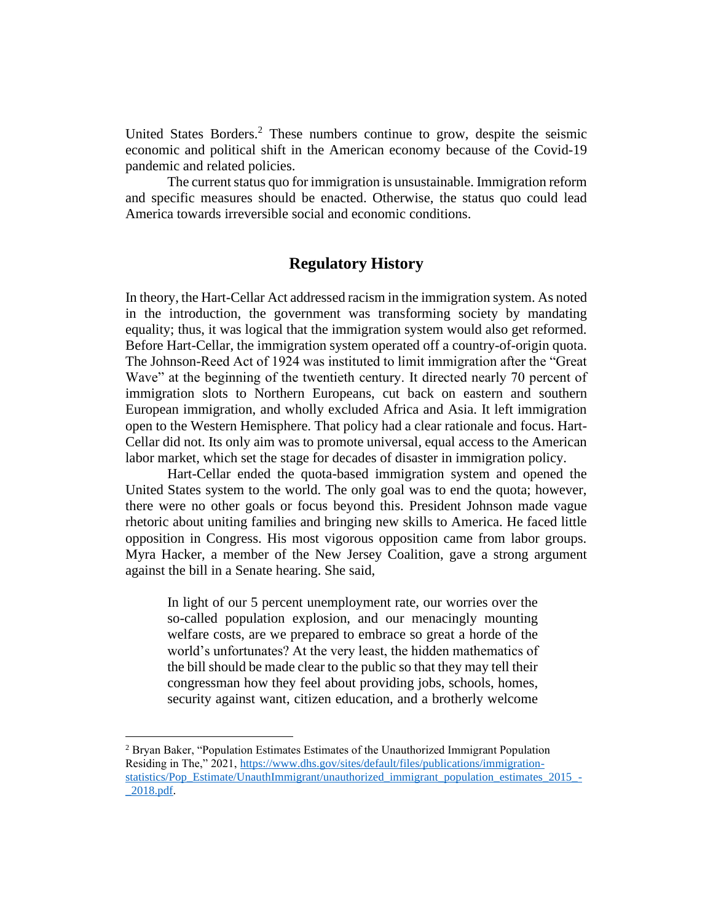United States Borders.<sup>2</sup> These numbers continue to grow, despite the seismic economic and political shift in the American economy because of the Covid-19 pandemic and related policies.

The current status quo for immigration is unsustainable. Immigration reform and specific measures should be enacted. Otherwise, the status quo could lead America towards irreversible social and economic conditions.

# **Regulatory History**

In theory, the Hart-Cellar Act addressed racism in the immigration system. As noted in the introduction, the government was transforming society by mandating equality; thus, it was logical that the immigration system would also get reformed. Before Hart-Cellar, the immigration system operated off a country-of-origin quota. The Johnson-Reed Act of 1924 was instituted to limit immigration after the "Great Wave" at the beginning of the twentieth century. It directed nearly 70 percent of immigration slots to Northern Europeans, cut back on eastern and southern European immigration, and wholly excluded Africa and Asia. It left immigration open to the Western Hemisphere. That policy had a clear rationale and focus. Hart-Cellar did not. Its only aim was to promote universal, equal access to the American labor market, which set the stage for decades of disaster in immigration policy.

Hart-Cellar ended the quota-based immigration system and opened the United States system to the world. The only goal was to end the quota; however, there were no other goals or focus beyond this. President Johnson made vague rhetoric about uniting families and bringing new skills to America. He faced little opposition in Congress. His most vigorous opposition came from labor groups. Myra Hacker, a member of the New Jersey Coalition, gave a strong argument against the bill in a Senate hearing. She said,

In light of our 5 percent unemployment rate, our worries over the so-called population explosion, and our menacingly mounting welfare costs, are we prepared to embrace so great a horde of the world's unfortunates? At the very least, the hidden mathematics of the bill should be made clear to the public so that they may tell their congressman how they feel about providing jobs, schools, homes, security against want, citizen education, and a brotherly welcome

<sup>2</sup> Bryan Baker, "Population Estimates Estimates of the Unauthorized Immigrant Population Residing in The," 2021, [https://www.dhs.gov/sites/default/files/publications/immigration](https://www.dhs.gov/sites/default/files/publications/immigration-statistics/Pop_Estimate/UnauthImmigrant/unauthorized_immigrant_population_estimates_2015_-_2018.pdf)[statistics/Pop\\_Estimate/UnauthImmigrant/unauthorized\\_immigrant\\_population\\_estimates\\_2015\\_-](https://www.dhs.gov/sites/default/files/publications/immigration-statistics/Pop_Estimate/UnauthImmigrant/unauthorized_immigrant_population_estimates_2015_-_2018.pdf) [\\_2018.pdf.](https://www.dhs.gov/sites/default/files/publications/immigration-statistics/Pop_Estimate/UnauthImmigrant/unauthorized_immigrant_population_estimates_2015_-_2018.pdf)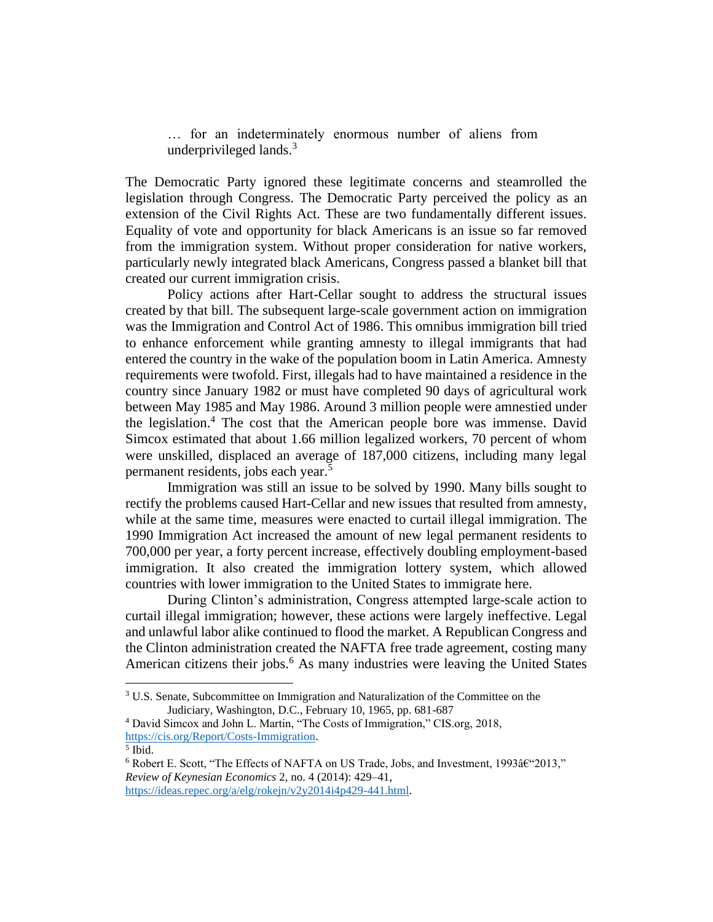… for an indeterminately enormous number of aliens from underprivileged lands.<sup>3</sup>

The Democratic Party ignored these legitimate concerns and steamrolled the legislation through Congress. The Democratic Party perceived the policy as an extension of the Civil Rights Act. These are two fundamentally different issues. Equality of vote and opportunity for black Americans is an issue so far removed from the immigration system. Without proper consideration for native workers, particularly newly integrated black Americans, Congress passed a blanket bill that created our current immigration crisis.

Policy actions after Hart-Cellar sought to address the structural issues created by that bill. The subsequent large-scale government action on immigration was the Immigration and Control Act of 1986. This omnibus immigration bill tried to enhance enforcement while granting amnesty to illegal immigrants that had entered the country in the wake of the population boom in Latin America. Amnesty requirements were twofold. First, illegals had to have maintained a residence in the country since January 1982 or must have completed 90 days of agricultural work between May 1985 and May 1986. Around 3 million people were amnestied under the legislation.<sup>4</sup> The cost that the American people bore was immense. David Simcox estimated that about 1.66 million legalized workers, 70 percent of whom were unskilled, displaced an average of 187,000 citizens, including many legal permanent residents, jobs each year.<sup>5</sup>

Immigration was still an issue to be solved by 1990. Many bills sought to rectify the problems caused Hart-Cellar and new issues that resulted from amnesty, while at the same time, measures were enacted to curtail illegal immigration. The 1990 Immigration Act increased the amount of new legal permanent residents to 700,000 per year, a forty percent increase, effectively doubling employment-based immigration. It also created the immigration lottery system, which allowed countries with lower immigration to the United States to immigrate here.

During Clinton's administration, Congress attempted large-scale action to curtail illegal immigration; however, these actions were largely ineffective. Legal and unlawful labor alike continued to flood the market. A Republican Congress and the Clinton administration created the NAFTA free trade agreement, costing many American citizens their jobs.<sup>6</sup> As many industries were leaving the United States

[https://ideas.repec.org/a/elg/rokejn/v2y2014i4p429-441.html.](https://ideas.repec.org/a/elg/rokejn/v2y2014i4p429-441.html)

<sup>3</sup> U.S. Senate, Subcommittee on Immigration and Naturalization of the Committee on the Judiciary, Washington, D.C., February 10, 1965, pp. 681-687

<sup>4</sup> David Simcox and John L. Martin, "The Costs of Immigration," CIS.org, 2018, [https://cis.org/Report/Costs-Immigration.](https://cis.org/Report/Costs-Immigration)

<sup>5</sup> Ibid.

 $6$  Robert E. Scott, "The Effects of NAFTA on US Trade, Jobs, and Investment, 1993 $\hat{a}$  ("2013," *Review of Keynesian Economics* 2, no. 4 (2014): 429–41,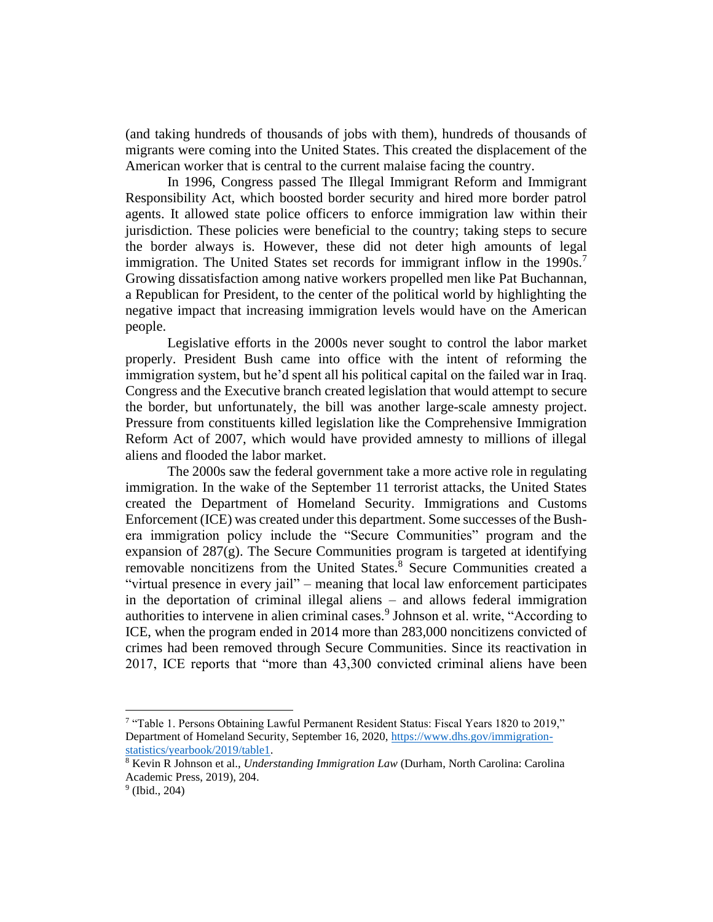(and taking hundreds of thousands of jobs with them), hundreds of thousands of migrants were coming into the United States. This created the displacement of the American worker that is central to the current malaise facing the country.

In 1996, Congress passed The Illegal Immigrant Reform and Immigrant Responsibility Act, which boosted border security and hired more border patrol agents. It allowed state police officers to enforce immigration law within their jurisdiction. These policies were beneficial to the country; taking steps to secure the border always is. However, these did not deter high amounts of legal immigration. The United States set records for immigrant inflow in the 1990s.<sup>7</sup> Growing dissatisfaction among native workers propelled men like Pat Buchannan, a Republican for President, to the center of the political world by highlighting the negative impact that increasing immigration levels would have on the American people.

Legislative efforts in the 2000s never sought to control the labor market properly. President Bush came into office with the intent of reforming the immigration system, but he'd spent all his political capital on the failed war in Iraq. Congress and the Executive branch created legislation that would attempt to secure the border, but unfortunately, the bill was another large-scale amnesty project. Pressure from constituents killed legislation like the Comprehensive Immigration Reform Act of 2007, which would have provided amnesty to millions of illegal aliens and flooded the labor market.

The 2000s saw the federal government take a more active role in regulating immigration. In the wake of the September 11 terrorist attacks, the United States created the Department of Homeland Security. Immigrations and Customs Enforcement (ICE) was created under this department. Some successes of the Bushera immigration policy include the "Secure Communities" program and the expansion of  $287(g)$ . The Secure Communities program is targeted at identifying removable noncitizens from the United States.<sup>8</sup> Secure Communities created a "virtual presence in every jail" – meaning that local law enforcement participates in the deportation of criminal illegal aliens – and allows federal immigration authorities to intervene in alien criminal cases.<sup>9</sup> Johnson et al. write, "According to ICE, when the program ended in 2014 more than 283,000 noncitizens convicted of crimes had been removed through Secure Communities. Since its reactivation in 2017, ICE reports that "more than 43,300 convicted criminal aliens have been

<sup>&</sup>lt;sup>7</sup> "Table 1. Persons Obtaining Lawful Permanent Resident Status: Fiscal Years 1820 to 2019," Department of Homeland Security, September 16, 2020, [https://www.dhs.gov/immigration](https://www.dhs.gov/immigration-statistics/yearbook/2019/table1)[statistics/yearbook/2019/table1.](https://www.dhs.gov/immigration-statistics/yearbook/2019/table1)

<sup>8</sup> Kevin R Johnson et al., *Understanding Immigration Law* (Durham, North Carolina: Carolina Academic Press, 2019), 204.

<sup>9</sup> (Ibid., 204)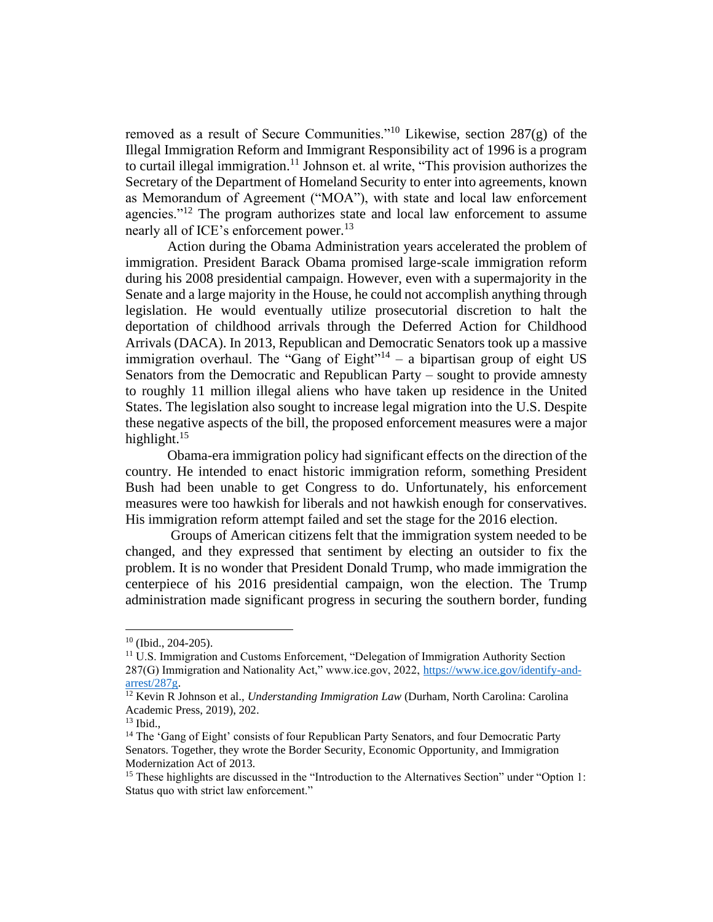removed as a result of Secure Communities."<sup>10</sup> Likewise, section 287(g) of the Illegal Immigration Reform and Immigrant Responsibility act of 1996 is a program to curtail illegal immigration.<sup>11</sup> Johnson et. al write, "This provision authorizes the Secretary of the Department of Homeland Security to enter into agreements, known as Memorandum of Agreement ("MOA"), with state and local law enforcement agencies."<sup>12</sup> The program authorizes state and local law enforcement to assume nearly all of ICE's enforcement power.<sup>13</sup>

Action during the Obama Administration years accelerated the problem of immigration. President Barack Obama promised large-scale immigration reform during his 2008 presidential campaign. However, even with a supermajority in the Senate and a large majority in the House, he could not accomplish anything through legislation. He would eventually utilize prosecutorial discretion to halt the deportation of childhood arrivals through the Deferred Action for Childhood Arrivals (DACA). In 2013, Republican and Democratic Senators took up a massive immigration overhaul. The "Gang of  $Eight$ "<sup>14</sup> – a bipartisan group of eight US Senators from the Democratic and Republican Party – sought to provide amnesty to roughly 11 million illegal aliens who have taken up residence in the United States. The legislation also sought to increase legal migration into the U.S. Despite these negative aspects of the bill, the proposed enforcement measures were a major highlight.<sup>15</sup>

Obama-era immigration policy had significant effects on the direction of the country. He intended to enact historic immigration reform, something President Bush had been unable to get Congress to do. Unfortunately, his enforcement measures were too hawkish for liberals and not hawkish enough for conservatives. His immigration reform attempt failed and set the stage for the 2016 election.

Groups of American citizens felt that the immigration system needed to be changed, and they expressed that sentiment by electing an outsider to fix the problem. It is no wonder that President Donald Trump, who made immigration the centerpiece of his 2016 presidential campaign, won the election. The Trump administration made significant progress in securing the southern border, funding

 $10$  (Ibid., 204-205).

<sup>&</sup>lt;sup>11</sup> U.S. Immigration and Customs Enforcement, "Delegation of Immigration Authority Section 287(G) Immigration and Nationality Act," www.ice.gov, 2022, [https://www.ice.gov/identify-and](https://www.ice.gov/identify-and-arrest/287g)[arrest/287g.](https://www.ice.gov/identify-and-arrest/287g)

<sup>&</sup>lt;sup>12</sup> Kevin R Johnson et al., *Understanding Immigration Law* (Durham, North Carolina: Carolina Academic Press, 2019), 202.

<sup>13</sup> Ibid.,

<sup>&</sup>lt;sup>14</sup> The 'Gang of Eight' consists of four Republican Party Senators, and four Democratic Party Senators. Together, they wrote the Border Security, Economic Opportunity, and Immigration Modernization Act of 2013.

<sup>&</sup>lt;sup>15</sup> These highlights are discussed in the "Introduction to the Alternatives Section" under "Option 1: Status quo with strict law enforcement."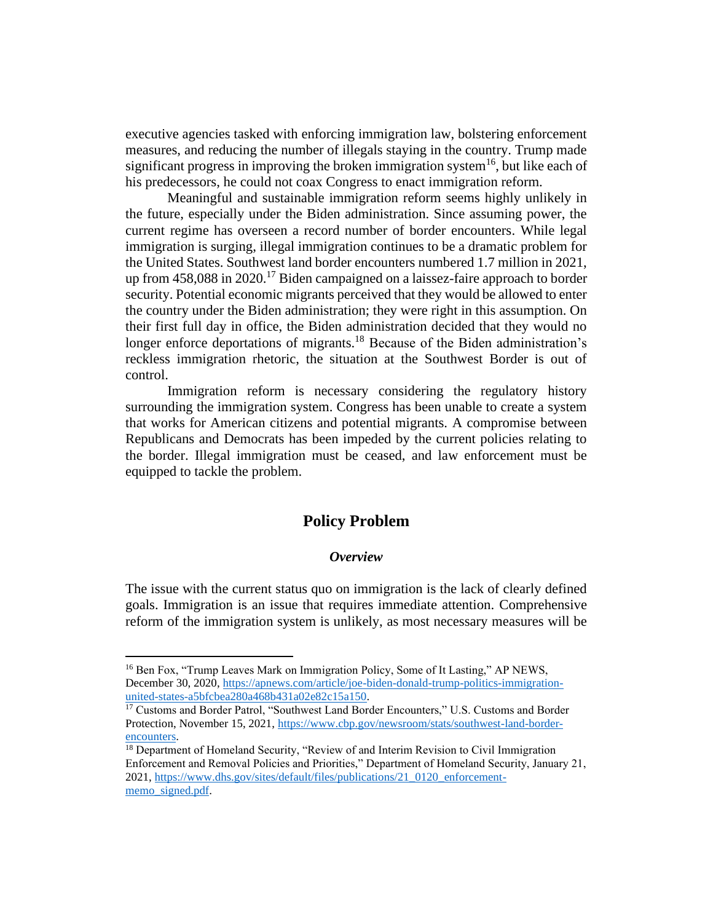executive agencies tasked with enforcing immigration law, bolstering enforcement measures, and reducing the number of illegals staying in the country. Trump made significant progress in improving the broken immigration system<sup>16</sup>, but like each of his predecessors, he could not coax Congress to enact immigration reform.

Meaningful and sustainable immigration reform seems highly unlikely in the future, especially under the Biden administration. Since assuming power, the current regime has overseen a record number of border encounters. While legal immigration is surging, illegal immigration continues to be a dramatic problem for the United States. Southwest land border encounters numbered 1.7 million in 2021, up from  $458,088$  in  $2020$ .<sup>17</sup> Biden campaigned on a laissez-faire approach to border security. Potential economic migrants perceived that they would be allowed to enter the country under the Biden administration; they were right in this assumption. On their first full day in office, the Biden administration decided that they would no longer enforce deportations of migrants.<sup>18</sup> Because of the Biden administration's reckless immigration rhetoric, the situation at the Southwest Border is out of control.

Immigration reform is necessary considering the regulatory history surrounding the immigration system. Congress has been unable to create a system that works for American citizens and potential migrants. A compromise between Republicans and Democrats has been impeded by the current policies relating to the border. Illegal immigration must be ceased, and law enforcement must be equipped to tackle the problem.

# **Policy Problem**

#### *Overview*

The issue with the current status quo on immigration is the lack of clearly defined goals. Immigration is an issue that requires immediate attention. Comprehensive reform of the immigration system is unlikely, as most necessary measures will be

<sup>16</sup> Ben Fox, "Trump Leaves Mark on Immigration Policy, Some of It Lasting," AP NEWS, December 30, 2020, [https://apnews.com/article/joe-biden-donald-trump-politics-immigration](https://apnews.com/article/joe-biden-donald-trump-politics-immigration-united-states-a5bfcbea280a468b431a02e82c15a150)[united-states-a5bfcbea280a468b431a02e82c15a150.](https://apnews.com/article/joe-biden-donald-trump-politics-immigration-united-states-a5bfcbea280a468b431a02e82c15a150)

<sup>&</sup>lt;sup>17</sup> Customs and Border Patrol, "Southwest Land Border Encounters," U.S. Customs and Border Protection, November 15, 2021[, https://www.cbp.gov/newsroom/stats/southwest-land-border](https://www.cbp.gov/newsroom/stats/southwest-land-border-encounters)[encounters.](https://www.cbp.gov/newsroom/stats/southwest-land-border-encounters)

<sup>&</sup>lt;sup>18</sup> Department of Homeland Security, "Review of and Interim Revision to Civil Immigration Enforcement and Removal Policies and Priorities," Department of Homeland Security, January 21, 2021[, https://www.dhs.gov/sites/default/files/publications/21\\_0120\\_enforcement](https://www.dhs.gov/sites/default/files/publications/21_0120_enforcement-memo_signed.pdf)[memo\\_signed.pdf.](https://www.dhs.gov/sites/default/files/publications/21_0120_enforcement-memo_signed.pdf)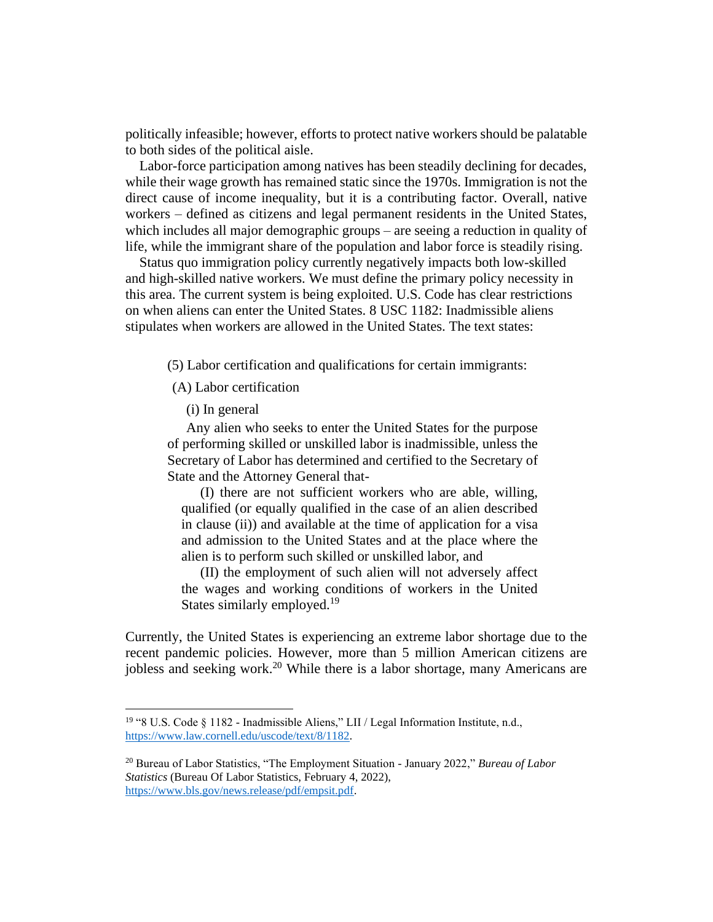politically infeasible; however, efforts to protect native workers should be palatable to both sides of the political aisle.

Labor-force participation among natives has been steadily declining for decades, while their wage growth has remained static since the 1970s. Immigration is not the direct cause of income inequality, but it is a contributing factor. Overall, native workers – defined as citizens and legal permanent residents in the United States, which includes all major demographic groups – are seeing a reduction in quality of life, while the immigrant share of the population and labor force is steadily rising.

Status quo immigration policy currently negatively impacts both low-skilled and high-skilled native workers. We must define the primary policy necessity in this area. The current system is being exploited. U.S. Code has clear restrictions on when aliens can enter the United States. 8 USC 1182: Inadmissible aliens stipulates when workers are allowed in the United States. The text states:

(5) Labor certification and qualifications for certain immigrants:

(A) Labor certification

(i) In general

Any alien who seeks to enter the United States for the purpose of performing skilled or unskilled labor is inadmissible, unless the Secretary of Labor has determined and certified to the Secretary of State and the Attorney General that-

(I) there are not sufficient workers who are able, willing, qualified (or equally qualified in the case of an alien described in clause (ii)) and available at the time of application for a visa and admission to the United States and at the place where the alien is to perform such skilled or unskilled labor, and

(II) the employment of such alien will not adversely affect the wages and working conditions of workers in the United States similarly employed.<sup>19</sup>

Currently, the United States is experiencing an extreme labor shortage due to the recent pandemic policies. However, more than 5 million American citizens are jobless and seeking work.<sup>20</sup> While there is a labor shortage, many Americans are

<sup>19</sup> "8 U.S. Code § 1182 - Inadmissible Aliens," LII / Legal Information Institute, n.d., [https://www.law.cornell.edu/uscode/text/8/1182.](https://www.law.cornell.edu/uscode/text/8/1182)

<sup>20</sup> Bureau of Labor Statistics, "The Employment Situation - January 2022," *Bureau of Labor Statistics* (Bureau Of Labor Statistics, February 4, 2022), [https://www.bls.gov/news.release/pdf/empsit.pdf.](https://www.bls.gov/news.release/pdf/empsit.pdf)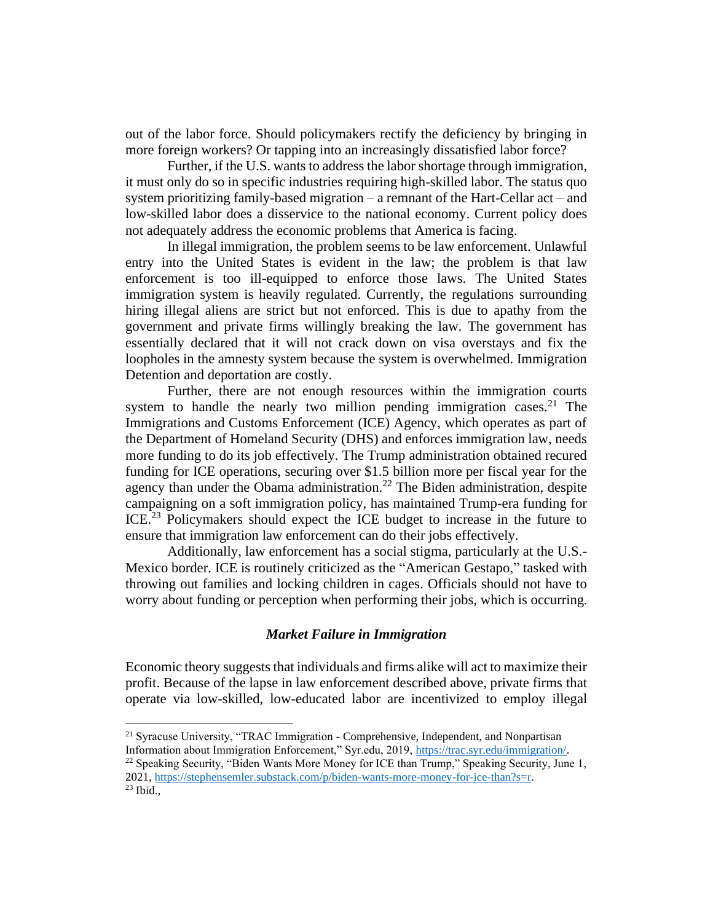out of the labor force. Should policymakers rectify the deficiency by bringing in more foreign workers? Or tapping into an increasingly dissatisfied labor force?

Further, if the U.S. wants to address the labor shortage through immigration, it must only do so in specific industries requiring high-skilled labor. The status quo system prioritizing family-based migration – a remnant of the Hart-Cellar act – and low-skilled labor does a disservice to the national economy. Current policy does not adequately address the economic problems that America is facing.

In illegal immigration, the problem seems to be law enforcement. Unlawful entry into the United States is evident in the law; the problem is that law enforcement is too ill-equipped to enforce those laws. The United States immigration system is heavily regulated. Currently, the regulations surrounding hiring illegal aliens are strict but not enforced. This is due to apathy from the government and private firms willingly breaking the law. The government has essentially declared that it will not crack down on visa overstays and fix the loopholes in the amnesty system because the system is overwhelmed. Immigration Detention and deportation are costly.

Further, there are not enough resources within the immigration courts system to handle the nearly two million pending immigration cases.<sup>21</sup> The Immigrations and Customs Enforcement (ICE) Agency, which operates as part of the Department of Homeland Security (DHS) and enforces immigration law, needs more funding to do its job effectively. The Trump administration obtained recured funding for ICE operations, securing over \$1.5 billion more per fiscal year for the agency than under the Obama administration.<sup>22</sup> The Biden administration, despite campaigning on a soft immigration policy, has maintained Trump-era funding for ICE.<sup>23</sup> Policymakers should expect the ICE budget to increase in the future to ensure that immigration law enforcement can do their jobs effectively.

Additionally, law enforcement has a social stigma, particularly at the U.S.- Mexico border. ICE is routinely criticized as the "American Gestapo," tasked with throwing out families and locking children in cages. Officials should not have to worry about funding or perception when performing their jobs, which is occurring.

## *Market Failure in Immigration*

Economic theory suggests that individuals and firms alike will act to maximize their profit. Because of the lapse in law enforcement described above, private firms that operate via low-skilled, low-educated labor are incentivized to employ illegal

<sup>&</sup>lt;sup>21</sup> Syracuse University, "TRAC Immigration - Comprehensive, Independent, and Nonpartisan Information about Immigration Enforcement," Syr.edu, 2019, [https://trac.syr.edu/immigration/.](https://trac.syr.edu/immigration/)

<sup>&</sup>lt;sup>22</sup> Speaking Security, "Biden Wants More Money for ICE than Trump," Speaking Security, June 1, 2021[, https://stephensemler.substack.com/p/biden-wants-more-money-for-ice-than?s=r.](https://stephensemler.substack.com/p/biden-wants-more-money-for-ice-than?s=r)

 $23$  Ibid.,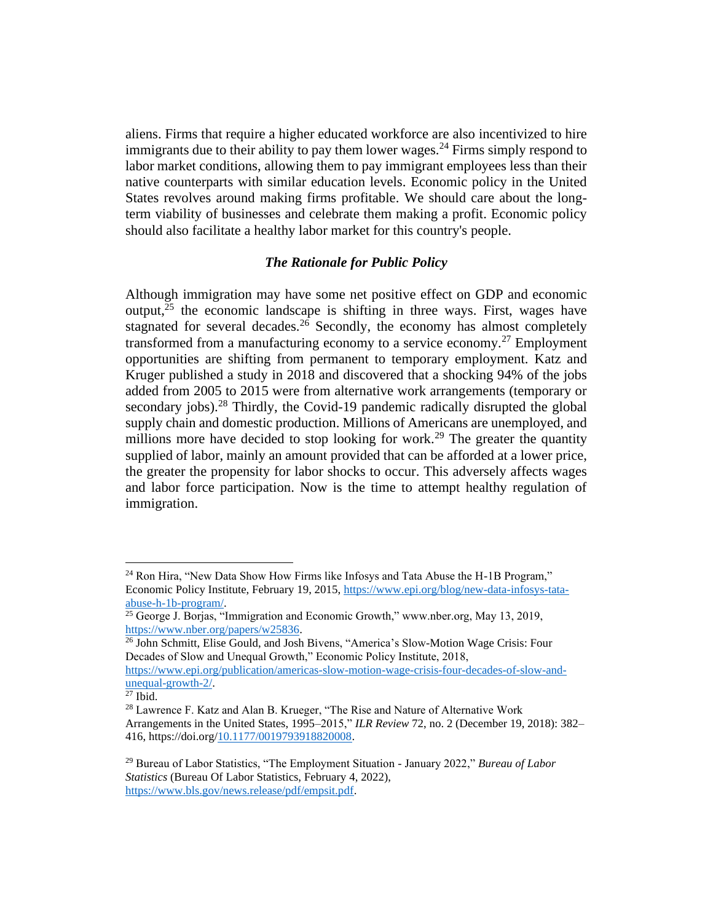aliens. Firms that require a higher educated workforce are also incentivized to hire immigrants due to their ability to pay them lower wages.<sup>24</sup> Firms simply respond to labor market conditions, allowing them to pay immigrant employees less than their native counterparts with similar education levels. Economic policy in the United States revolves around making firms profitable. We should care about the longterm viability of businesses and celebrate them making a profit. Economic policy should also facilitate a healthy labor market for this country's people.

## *The Rationale for Public Policy*

Although immigration may have some net positive effect on GDP and economic output, $25$  the economic landscape is shifting in three ways. First, wages have stagnated for several decades.<sup>26</sup> Secondly, the economy has almost completely transformed from a manufacturing economy to a service economy.<sup>27</sup> Employment opportunities are shifting from permanent to temporary employment. Katz and Kruger published a study in 2018 and discovered that a shocking 94% of the jobs added from 2005 to 2015 were from alternative work arrangements (temporary or secondary jobs).<sup>28</sup> Thirdly, the Covid-19 pandemic radically disrupted the global supply chain and domestic production. Millions of Americans are unemployed, and millions more have decided to stop looking for work.<sup>29</sup> The greater the quantity supplied of labor, mainly an amount provided that can be afforded at a lower price, the greater the propensity for labor shocks to occur. This adversely affects wages and labor force participation. Now is the time to attempt healthy regulation of immigration.

<sup>&</sup>lt;sup>24</sup> Ron Hira, "New Data Show How Firms like Infosys and Tata Abuse the H-1B Program," Economic Policy Institute, February 19, 2015, [https://www.epi.org/blog/new-data-infosys-tata](https://www.epi.org/blog/new-data-infosys-tata-abuse-h-1b-program/)[abuse-h-1b-program/.](https://www.epi.org/blog/new-data-infosys-tata-abuse-h-1b-program/)

 $25$  George J. Borjas, "Immigration and Economic Growth," www.nber.org, May 13, 2019, [https://www.nber.org/papers/w25836.](https://www.nber.org/papers/w25836)

<sup>&</sup>lt;sup>26</sup> John Schmitt, Elise Gould, and Josh Bivens, "America's Slow-Motion Wage Crisis: Four Decades of Slow and Unequal Growth," Economic Policy Institute, 2018,

[https://www.epi.org/publication/americas-slow-motion-wage-crisis-four-decades-of-slow-and](https://www.epi.org/publication/americas-slow-motion-wage-crisis-four-decades-of-slow-and-unequal-growth-2/)[unequal-growth-2/.](https://www.epi.org/publication/americas-slow-motion-wage-crisis-four-decades-of-slow-and-unequal-growth-2/)

 $27$  Ibid.

<sup>&</sup>lt;sup>28</sup> Lawrence F. Katz and Alan B. Krueger, "The Rise and Nature of Alternative Work Arrangements in the United States, 1995–2015," *ILR Review* 72, no. 2 (December 19, 2018): 382– 416, https://doi.org[/10.1177/0019793918820008.](/Users/gabrielmillar/Downloads/10.1177/0019793918820008)

<sup>29</sup> Bureau of Labor Statistics, "The Employment Situation - January 2022," *Bureau of Labor Statistics* (Bureau Of Labor Statistics, February 4, 2022), [https://www.bls.gov/news.release/pdf/empsit.pdf.](https://www.bls.gov/news.release/pdf/empsit.pdf)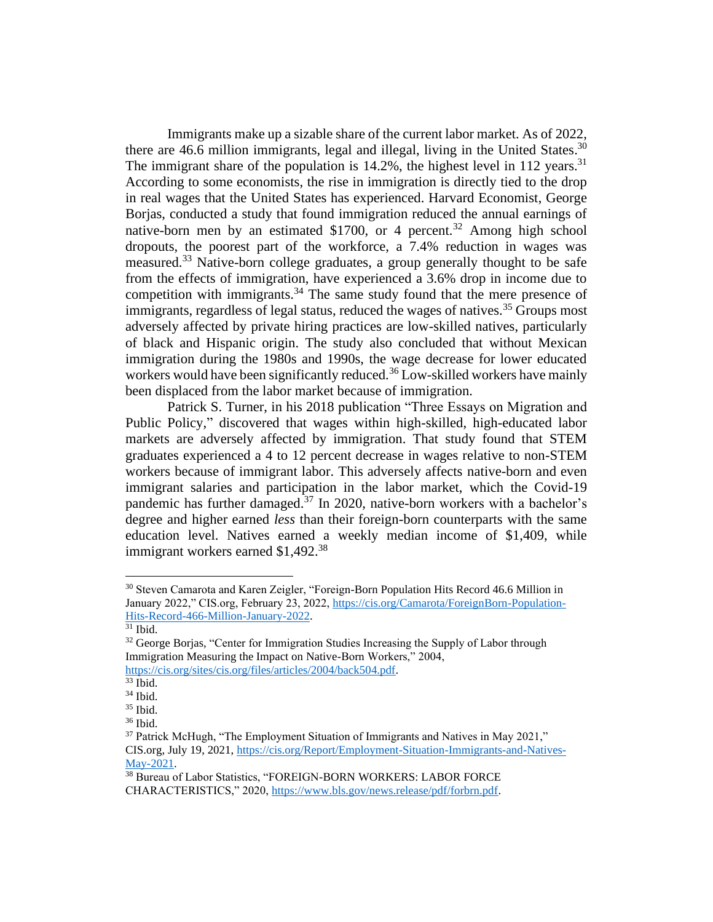Immigrants make up a sizable share of the current labor market. As of 2022, there are 46.6 million immigrants, legal and illegal, living in the United States.<sup>30</sup> The immigrant share of the population is  $14.2\%$ , the highest level in 112 years.<sup>31</sup> According to some economists, the rise in immigration is directly tied to the drop in real wages that the United States has experienced. Harvard Economist, George Borjas, conducted a study that found immigration reduced the annual earnings of native-born men by an estimated \$1700, or 4 percent.<sup>32</sup> Among high school dropouts, the poorest part of the workforce, a 7.4% reduction in wages was measured.<sup>33</sup> Native-born college graduates, a group generally thought to be safe from the effects of immigration, have experienced a 3.6% drop in income due to competition with immigrants.<sup>34</sup> The same study found that the mere presence of immigrants, regardless of legal status, reduced the wages of natives.<sup>35</sup> Groups most adversely affected by private hiring practices are low-skilled natives, particularly of black and Hispanic origin. The study also concluded that without Mexican immigration during the 1980s and 1990s, the wage decrease for lower educated workers would have been significantly reduced.<sup>36</sup> Low-skilled workers have mainly been displaced from the labor market because of immigration.

Patrick S. Turner, in his 2018 publication "Three Essays on Migration and Public Policy," discovered that wages within high-skilled, high-educated labor markets are adversely affected by immigration. That study found that STEM graduates experienced a 4 to 12 percent decrease in wages relative to non-STEM workers because of immigrant labor. This adversely affects native-born and even immigrant salaries and participation in the labor market, which the Covid-19 pandemic has further damaged.<sup>37</sup> In 2020, native-born workers with a bachelor's degree and higher earned *less* than their foreign-born counterparts with the same education level. Natives earned a weekly median income of \$1,409, while immigrant workers earned \$1,492.<sup>38</sup>

<sup>30</sup> Steven Camarota and Karen Zeigler, "Foreign-Born Population Hits Record 46.6 Million in January 2022," CIS.org, February 23, 2022, [https://cis.org/Camarota/ForeignBorn-Population-](https://cis.org/Camarota/ForeignBorn-Population-Hits-Record-466-Million-January-2022)[Hits-Record-466-Million-January-2022.](https://cis.org/Camarota/ForeignBorn-Population-Hits-Record-466-Million-January-2022)

 $31$  Ibid.

 $32$  George Borjas, "Center for Immigration Studies Increasing the Supply of Labor through Immigration Measuring the Impact on Native-Born Workers," 2004,

[https://cis.org/sites/cis.org/files/articles/2004/back504.pdf.](https://cis.org/sites/cis.org/files/articles/2004/back504.pdf)

 $33$  Ibid.

<sup>34</sup> Ibid.

<sup>35</sup> Ibid.

 $36$  Ibid.

<sup>&</sup>lt;sup>37</sup> Patrick McHugh, "The Employment Situation of Immigrants and Natives in May 2021," CIS.org, July 19, 2021, [https://cis.org/Report/Employment-Situation-Immigrants-and-Natives-](https://cis.org/Report/Employment-Situation-Immigrants-and-Natives-May-2021)[May-2021.](https://cis.org/Report/Employment-Situation-Immigrants-and-Natives-May-2021)

<sup>38</sup> Bureau of Labor Statistics, "FOREIGN-BORN WORKERS: LABOR FORCE CHARACTERISTICS," 2020, [https://www.bls.gov/news.release/pdf/forbrn.pdf.](https://www.bls.gov/news.release/pdf/forbrn.pdf)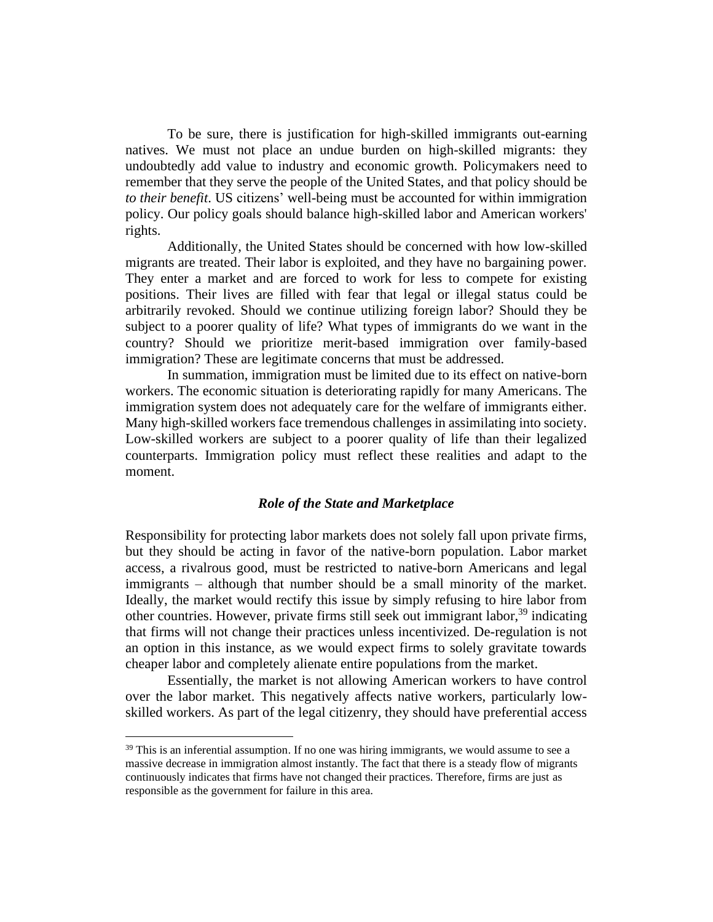To be sure, there is justification for high-skilled immigrants out-earning natives. We must not place an undue burden on high-skilled migrants: they undoubtedly add value to industry and economic growth. Policymakers need to remember that they serve the people of the United States, and that policy should be *to their benefit*. US citizens' well-being must be accounted for within immigration policy. Our policy goals should balance high-skilled labor and American workers' rights.

Additionally, the United States should be concerned with how low-skilled migrants are treated. Their labor is exploited, and they have no bargaining power. They enter a market and are forced to work for less to compete for existing positions. Their lives are filled with fear that legal or illegal status could be arbitrarily revoked. Should we continue utilizing foreign labor? Should they be subject to a poorer quality of life? What types of immigrants do we want in the country? Should we prioritize merit-based immigration over family-based immigration? These are legitimate concerns that must be addressed.

In summation, immigration must be limited due to its effect on native-born workers. The economic situation is deteriorating rapidly for many Americans. The immigration system does not adequately care for the welfare of immigrants either. Many high-skilled workers face tremendous challenges in assimilating into society. Low-skilled workers are subject to a poorer quality of life than their legalized counterparts. Immigration policy must reflect these realities and adapt to the moment.

#### *Role of the State and Marketplace*

Responsibility for protecting labor markets does not solely fall upon private firms, but they should be acting in favor of the native-born population. Labor market access, a rivalrous good, must be restricted to native-born Americans and legal immigrants – although that number should be a small minority of the market. Ideally, the market would rectify this issue by simply refusing to hire labor from other countries. However, private firms still seek out immigrant labor,<sup>39</sup> indicating that firms will not change their practices unless incentivized. De-regulation is not an option in this instance, as we would expect firms to solely gravitate towards cheaper labor and completely alienate entire populations from the market.

Essentially, the market is not allowing American workers to have control over the labor market. This negatively affects native workers, particularly lowskilled workers. As part of the legal citizenry, they should have preferential access

<sup>&</sup>lt;sup>39</sup> This is an inferential assumption. If no one was hiring immigrants, we would assume to see a massive decrease in immigration almost instantly. The fact that there is a steady flow of migrants continuously indicates that firms have not changed their practices. Therefore, firms are just as responsible as the government for failure in this area.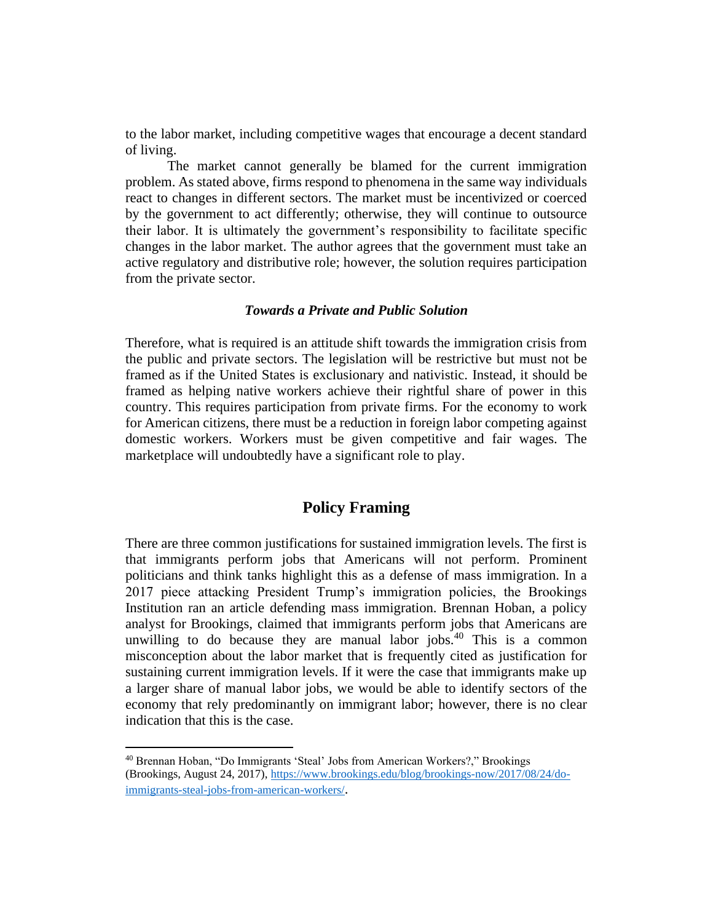to the labor market, including competitive wages that encourage a decent standard of living.

The market cannot generally be blamed for the current immigration problem. As stated above, firms respond to phenomena in the same way individuals react to changes in different sectors. The market must be incentivized or coerced by the government to act differently; otherwise, they will continue to outsource their labor. It is ultimately the government's responsibility to facilitate specific changes in the labor market. The author agrees that the government must take an active regulatory and distributive role; however, the solution requires participation from the private sector.

#### *Towards a Private and Public Solution*

Therefore, what is required is an attitude shift towards the immigration crisis from the public and private sectors. The legislation will be restrictive but must not be framed as if the United States is exclusionary and nativistic. Instead, it should be framed as helping native workers achieve their rightful share of power in this country. This requires participation from private firms. For the economy to work for American citizens, there must be a reduction in foreign labor competing against domestic workers. Workers must be given competitive and fair wages. The marketplace will undoubtedly have a significant role to play.

# **Policy Framing**

There are three common justifications for sustained immigration levels. The first is that immigrants perform jobs that Americans will not perform. Prominent politicians and think tanks highlight this as a defense of mass immigration. In a 2017 piece attacking President Trump's immigration policies, the Brookings Institution ran an article defending mass immigration. Brennan Hoban, a policy analyst for Brookings, claimed that immigrants perform jobs that Americans are unwilling to do because they are manual labor jobs.<sup>40</sup> This is a common misconception about the labor market that is frequently cited as justification for sustaining current immigration levels. If it were the case that immigrants make up a larger share of manual labor jobs, we would be able to identify sectors of the economy that rely predominantly on immigrant labor; however, there is no clear indication that this is the case.

<sup>40</sup> Brennan Hoban, "Do Immigrants 'Steal' Jobs from American Workers?," Brookings (Brookings, August 24, 2017), [https://www.brookings.edu/blog/brookings-now/2017/08/24/do](https://www.brookings.edu/blog/brookings-now/2017/08/24/do-immigrants-steal-jobs-from-american-workers/)[immigrants-steal-jobs-from-american-workers/](https://www.brookings.edu/blog/brookings-now/2017/08/24/do-immigrants-steal-jobs-from-american-workers/).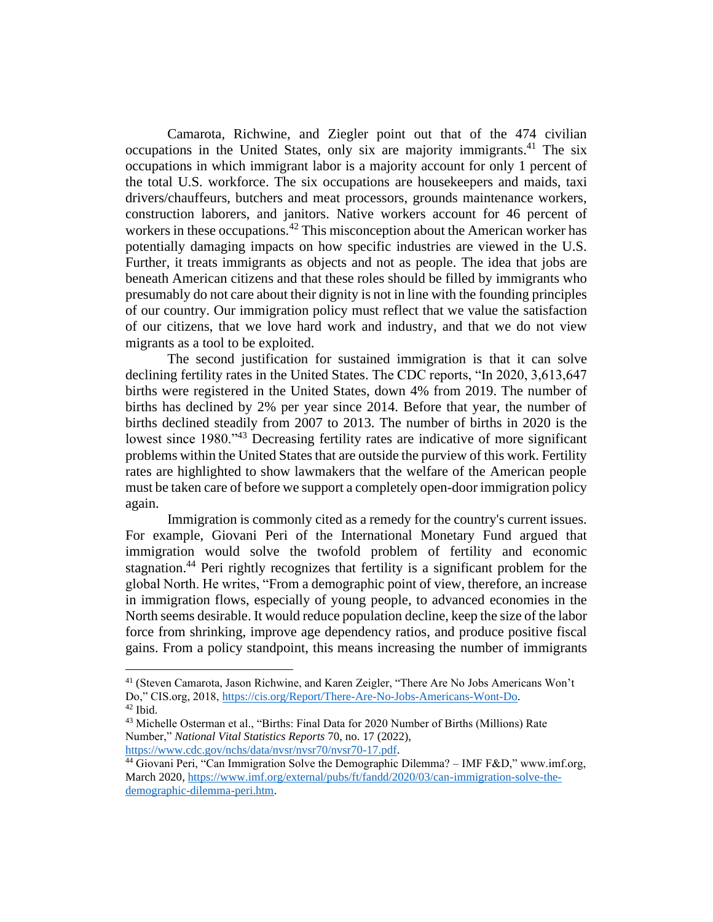Camarota, Richwine, and Ziegler point out that of the 474 civilian occupations in the United States, only six are majority immigrants. <sup>41</sup> The six occupations in which immigrant labor is a majority account for only 1 percent of the total U.S. workforce. The six occupations are housekeepers and maids, taxi drivers/chauffeurs, butchers and meat processors, grounds maintenance workers, construction laborers, and janitors. Native workers account for 46 percent of workers in these occupations.<sup>42</sup> This misconception about the American worker has potentially damaging impacts on how specific industries are viewed in the U.S. Further, it treats immigrants as objects and not as people. The idea that jobs are beneath American citizens and that these roles should be filled by immigrants who presumably do not care about their dignity is not in line with the founding principles of our country. Our immigration policy must reflect that we value the satisfaction of our citizens, that we love hard work and industry, and that we do not view migrants as a tool to be exploited.

The second justification for sustained immigration is that it can solve declining fertility rates in the United States. The CDC reports, "In 2020, 3,613,647 births were registered in the United States, down 4% from 2019. The number of births has declined by 2% per year since 2014. Before that year, the number of births declined steadily from 2007 to 2013. The number of births in 2020 is the lowest since 1980."<sup>43</sup> Decreasing fertility rates are indicative of more significant problems within the United States that are outside the purview of this work. Fertility rates are highlighted to show lawmakers that the welfare of the American people must be taken care of before we support a completely open-door immigration policy again.

Immigration is commonly cited as a remedy for the country's current issues. For example, Giovani Peri of the International Monetary Fund argued that immigration would solve the twofold problem of fertility and economic stagnation.<sup>44</sup> Peri rightly recognizes that fertility is a significant problem for the global North. He writes, "From a demographic point of view, therefore, an increase in immigration flows, especially of young people, to advanced economies in the North seems desirable. It would reduce population decline, keep the size of the labor force from shrinking, improve age dependency ratios, and produce positive fiscal gains. From a policy standpoint, this means increasing the number of immigrants

<sup>41</sup> (Steven Camarota, Jason Richwine, and Karen Zeigler, "There Are No Jobs Americans Won't Do," CIS.org, 2018, [https://cis.org/Report/There-Are-No-Jobs-Americans-Wont-Do.](https://cis.org/Report/There-Are-No-Jobs-Americans-Wont-Do) <sup>42</sup> Ibid.

<sup>43</sup> Michelle Osterman et al., "Births: Final Data for 2020 Number of Births (Millions) Rate Number," *National Vital Statistics Reports* 70, no. 17 (2022), [https://www.cdc.gov/nchs/data/nvsr/nvsr70/nvsr70-17.pdf.](https://www.cdc.gov/nchs/data/nvsr/nvsr70/nvsr70-17.pdf)

 $44$  Giovani Peri, "Can Immigration Solve the Demographic Dilemma? – IMF F&D," www.imf.org, March 2020, [https://www.imf.org/external/pubs/ft/fandd/2020/03/can-immigration-solve-the](https://www.imf.org/external/pubs/ft/fandd/2020/03/can-immigration-solve-the-demographic-dilemma-peri.htm)[demographic-dilemma-peri.htm.](https://www.imf.org/external/pubs/ft/fandd/2020/03/can-immigration-solve-the-demographic-dilemma-peri.htm)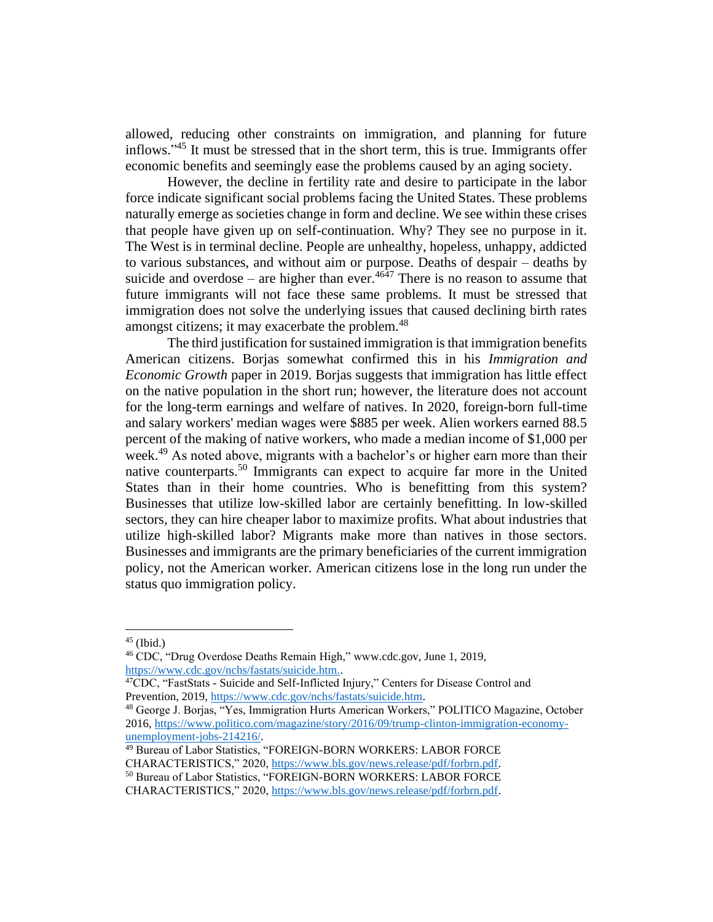allowed, reducing other constraints on immigration, and planning for future inflows."<sup>45</sup> It must be stressed that in the short term, this is true. Immigrants offer economic benefits and seemingly ease the problems caused by an aging society.

However, the decline in fertility rate and desire to participate in the labor force indicate significant social problems facing the United States. These problems naturally emerge as societies change in form and decline. We see within these crises that people have given up on self-continuation. Why? They see no purpose in it. The West is in terminal decline. People are unhealthy, hopeless, unhappy, addicted to various substances, and without aim or purpose. Deaths of despair – deaths by suicide and overdose – are higher than ever.<sup>4647</sup> There is no reason to assume that future immigrants will not face these same problems. It must be stressed that immigration does not solve the underlying issues that caused declining birth rates amongst citizens; it may exacerbate the problem.<sup>48</sup>

The third justification for sustained immigration is that immigration benefits American citizens. Borjas somewhat confirmed this in his *Immigration and Economic Growth* paper in 2019. Borjas suggests that immigration has little effect on the native population in the short run; however, the literature does not account for the long-term earnings and welfare of natives. In 2020, foreign-born full-time and salary workers' median wages were \$885 per week. Alien workers earned 88.5 percent of the making of native workers, who made a median income of \$1,000 per week.<sup>49</sup> As noted above, migrants with a bachelor's or higher earn more than their native counterparts.<sup>50</sup> Immigrants can expect to acquire far more in the United States than in their home countries. Who is benefitting from this system? Businesses that utilize low-skilled labor are certainly benefitting. In low-skilled sectors, they can hire cheaper labor to maximize profits. What about industries that utilize high-skilled labor? Migrants make more than natives in those sectors. Businesses and immigrants are the primary beneficiaries of the current immigration policy, not the American worker. American citizens lose in the long run under the status quo immigration policy.

 $45$  (Ibid.)

<sup>46</sup> CDC, "Drug Overdose Deaths Remain High," www.cdc.gov, June 1, 2019, [https://www.cdc.gov/nchs/fastats/suicide.htm..](https://www.cdc.gov/nchs/fastats/suicide.htm.)

<sup>&</sup>lt;sup>47</sup>CDC, "FastStats - Suicide and Self-Inflicted Injury," Centers for Disease Control and Prevention, 2019, [https://www.cdc.gov/nchs/fastats/suicide.htm.](https://www.cdc.gov/nchs/fastats/suicide.htm)

<sup>48</sup> George J. Borjas, "Yes, Immigration Hurts American Workers," POLITICO Magazine, October 2016[, https://www.politico.com/magazine/story/2016/09/trump-clinton-immigration-economy](https://www.politico.com/magazine/story/2016/09/trump-clinton-immigration-economy-unemployment-jobs-214216/)[unemployment-jobs-214216/.](https://www.politico.com/magazine/story/2016/09/trump-clinton-immigration-economy-unemployment-jobs-214216/)

<sup>49</sup> Bureau of Labor Statistics, "FOREIGN-BORN WORKERS: LABOR FORCE CHARACTERISTICS," 2020, [https://www.bls.gov/news.release/pdf/forbrn.pdf.](https://www.bls.gov/news.release/pdf/forbrn.pdf) <sup>50</sup> Bureau of Labor Statistics, "FOREIGN-BORN WORKERS: LABOR FORCE CHARACTERISTICS," 2020, [https://www.bls.gov/news.release/pdf/forbrn.pdf.](https://www.bls.gov/news.release/pdf/forbrn.pdf)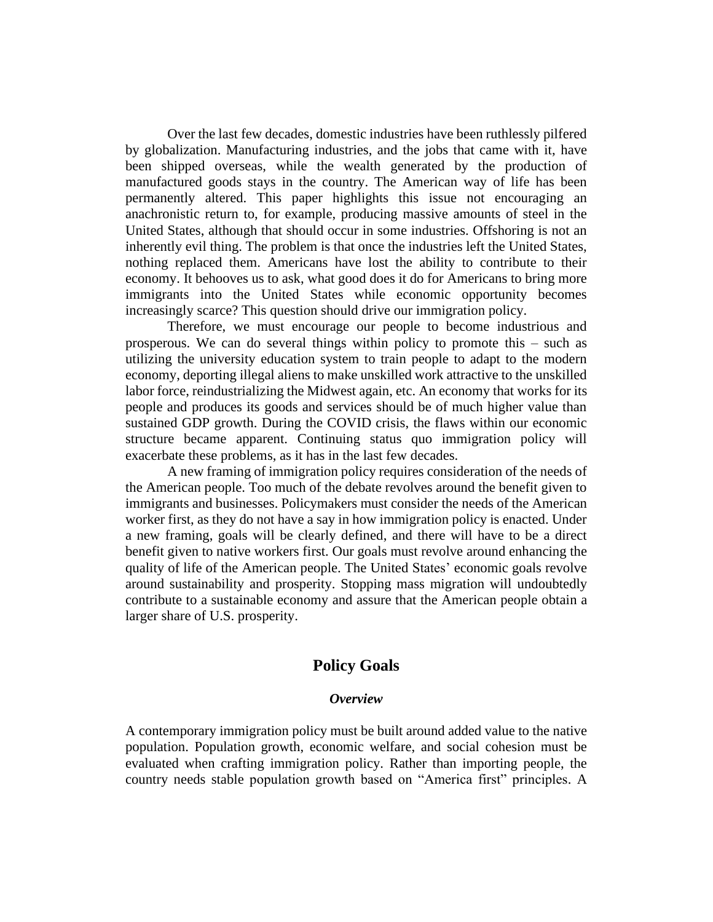Over the last few decades, domestic industries have been ruthlessly pilfered by globalization. Manufacturing industries, and the jobs that came with it, have been shipped overseas, while the wealth generated by the production of manufactured goods stays in the country. The American way of life has been permanently altered. This paper highlights this issue not encouraging an anachronistic return to, for example, producing massive amounts of steel in the United States, although that should occur in some industries. Offshoring is not an inherently evil thing. The problem is that once the industries left the United States, nothing replaced them. Americans have lost the ability to contribute to their economy. It behooves us to ask, what good does it do for Americans to bring more immigrants into the United States while economic opportunity becomes increasingly scarce? This question should drive our immigration policy.

Therefore, we must encourage our people to become industrious and prosperous. We can do several things within policy to promote this – such as utilizing the university education system to train people to adapt to the modern economy, deporting illegal aliens to make unskilled work attractive to the unskilled labor force, reindustrializing the Midwest again, etc. An economy that works for its people and produces its goods and services should be of much higher value than sustained GDP growth. During the COVID crisis, the flaws within our economic structure became apparent. Continuing status quo immigration policy will exacerbate these problems, as it has in the last few decades.

A new framing of immigration policy requires consideration of the needs of the American people. Too much of the debate revolves around the benefit given to immigrants and businesses. Policymakers must consider the needs of the American worker first, as they do not have a say in how immigration policy is enacted. Under a new framing, goals will be clearly defined, and there will have to be a direct benefit given to native workers first. Our goals must revolve around enhancing the quality of life of the American people. The United States' economic goals revolve around sustainability and prosperity. Stopping mass migration will undoubtedly contribute to a sustainable economy and assure that the American people obtain a larger share of U.S. prosperity.

# **Policy Goals**

#### *Overview*

A contemporary immigration policy must be built around added value to the native population. Population growth, economic welfare, and social cohesion must be evaluated when crafting immigration policy. Rather than importing people, the country needs stable population growth based on "America first" principles. A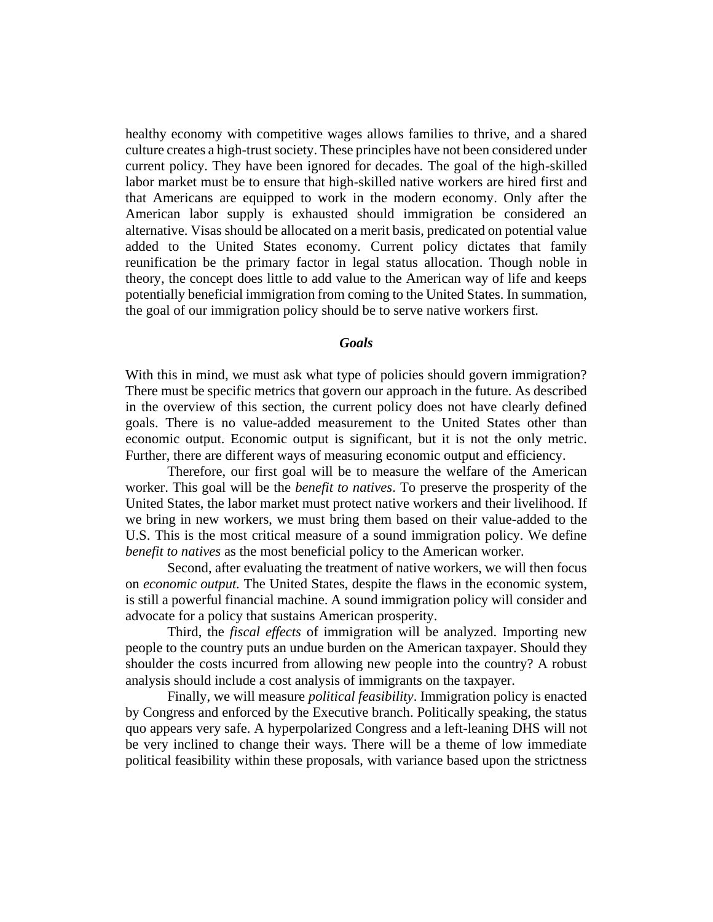healthy economy with competitive wages allows families to thrive, and a shared culture creates a high-trust society. These principles have not been considered under current policy. They have been ignored for decades. The goal of the high-skilled labor market must be to ensure that high-skilled native workers are hired first and that Americans are equipped to work in the modern economy. Only after the American labor supply is exhausted should immigration be considered an alternative. Visas should be allocated on a merit basis, predicated on potential value added to the United States economy. Current policy dictates that family reunification be the primary factor in legal status allocation. Though noble in theory, the concept does little to add value to the American way of life and keeps potentially beneficial immigration from coming to the United States. In summation, the goal of our immigration policy should be to serve native workers first.

## *Goals*

With this in mind, we must ask what type of policies should govern immigration? There must be specific metrics that govern our approach in the future. As described in the overview of this section, the current policy does not have clearly defined goals. There is no value-added measurement to the United States other than economic output. Economic output is significant, but it is not the only metric. Further, there are different ways of measuring economic output and efficiency.

Therefore, our first goal will be to measure the welfare of the American worker. This goal will be the *benefit to natives*. To preserve the prosperity of the United States, the labor market must protect native workers and their livelihood. If we bring in new workers, we must bring them based on their value-added to the U.S. This is the most critical measure of a sound immigration policy. We define *benefit to natives* as the most beneficial policy to the American worker.

Second, after evaluating the treatment of native workers, we will then focus on *economic output.* The United States, despite the flaws in the economic system, is still a powerful financial machine. A sound immigration policy will consider and advocate for a policy that sustains American prosperity.

Third, the *fiscal effects* of immigration will be analyzed. Importing new people to the country puts an undue burden on the American taxpayer. Should they shoulder the costs incurred from allowing new people into the country? A robust analysis should include a cost analysis of immigrants on the taxpayer.

Finally, we will measure *political feasibility*. Immigration policy is enacted by Congress and enforced by the Executive branch. Politically speaking, the status quo appears very safe. A hyperpolarized Congress and a left-leaning DHS will not be very inclined to change their ways. There will be a theme of low immediate political feasibility within these proposals, with variance based upon the strictness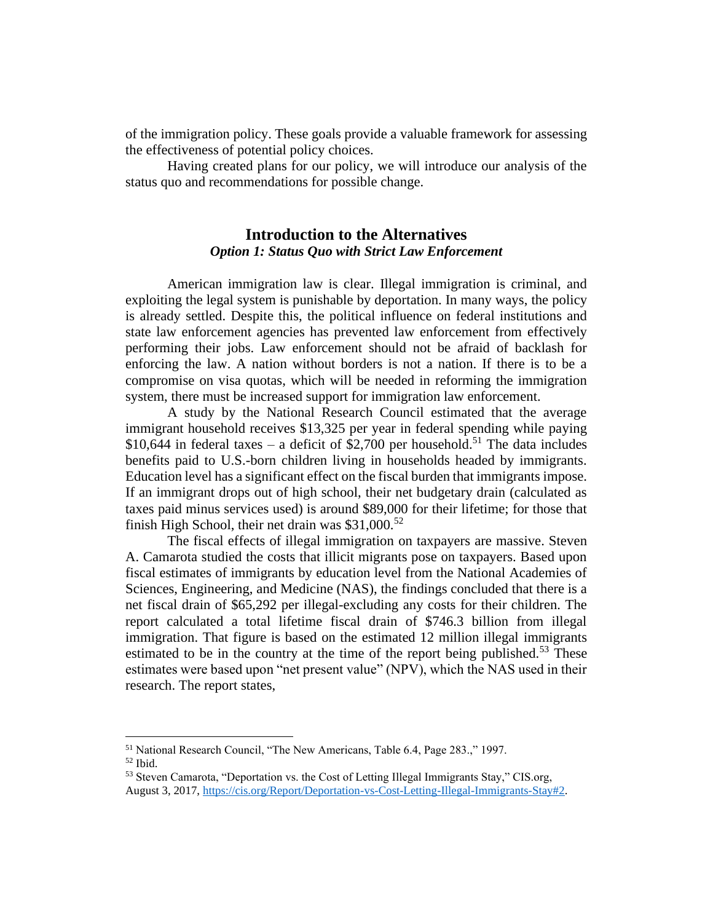of the immigration policy. These goals provide a valuable framework for assessing the effectiveness of potential policy choices.

Having created plans for our policy, we will introduce our analysis of the status quo and recommendations for possible change.

# **Introduction to the Alternatives** *Option 1: Status Quo with Strict Law Enforcement*

American immigration law is clear. Illegal immigration is criminal, and exploiting the legal system is punishable by deportation. In many ways, the policy is already settled. Despite this, the political influence on federal institutions and state law enforcement agencies has prevented law enforcement from effectively performing their jobs. Law enforcement should not be afraid of backlash for enforcing the law. A nation without borders is not a nation. If there is to be a compromise on visa quotas, which will be needed in reforming the immigration system, there must be increased support for immigration law enforcement.

A study by the National Research Council estimated that the average immigrant household receives \$13,325 per year in federal spending while paying \$10,644 in federal taxes – a deficit of \$2,700 per household.<sup>51</sup> The data includes benefits paid to U.S.-born children living in households headed by immigrants. Education level has a significant effect on the fiscal burden that immigrants impose. If an immigrant drops out of high school, their net budgetary drain (calculated as taxes paid minus services used) is around \$89,000 for their lifetime; for those that finish High School, their net drain was  $$31,000$ .<sup>52</sup>

The fiscal effects of illegal immigration on taxpayers are massive. Steven A. Camarota studied the costs that illicit migrants pose on taxpayers. Based upon fiscal estimates of immigrants by education level from the National Academies of Sciences, Engineering, and Medicine (NAS), the findings concluded that there is a net fiscal drain of \$65,292 per illegal-excluding any costs for their children. The report calculated a total lifetime fiscal drain of \$746.3 billion from illegal immigration. That figure is based on the estimated 12 million illegal immigrants estimated to be in the country at the time of the report being published.<sup>53</sup> These estimates were based upon "net present value" (NPV), which the NAS used in their research. The report states,

<sup>51</sup> National Research Council, "The New Americans, Table 6.4, Page 283.," 1997.

 $52$  Ibid.

<sup>53</sup> Steven Camarota, "Deportation vs. the Cost of Letting Illegal Immigrants Stay," CIS.org, August 3, 2017, [https://cis.org/Report/Deportation-vs-Cost-Letting-Illegal-Immigrants-Stay#2.](https://cis.org/Report/Deportation-vs-Cost-Letting-Illegal-Immigrants-Stay#2)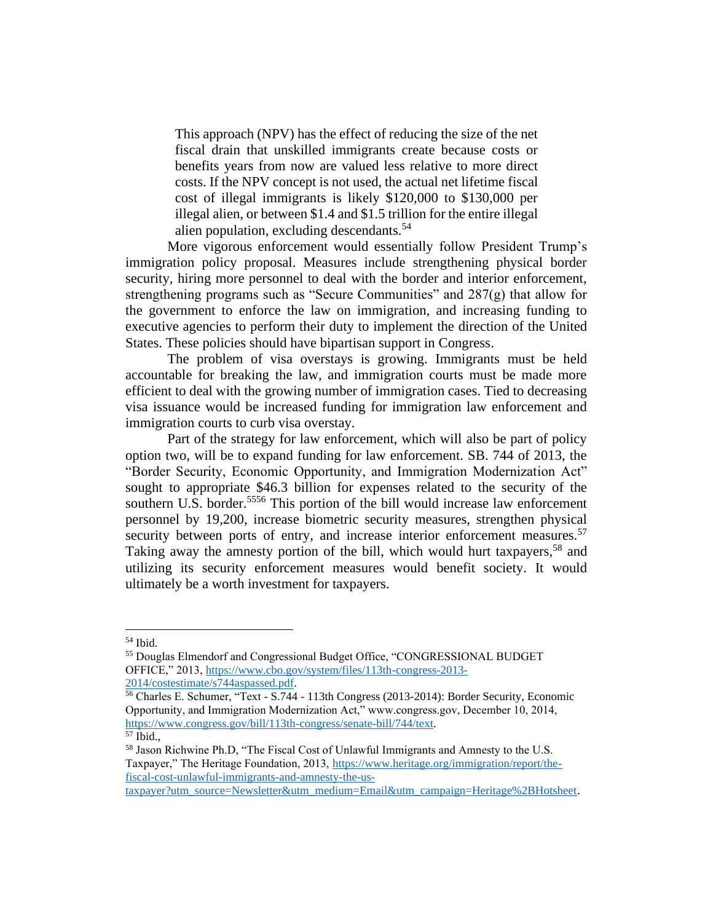This approach (NPV) has the effect of reducing the size of the net fiscal drain that unskilled immigrants create because costs or benefits years from now are valued less relative to more direct costs. If the NPV concept is not used, the actual net lifetime fiscal cost of illegal immigrants is likely \$120,000 to \$130,000 per illegal alien, or between \$1.4 and \$1.5 trillion for the entire illegal alien population, excluding descendants.<sup>54</sup>

More vigorous enforcement would essentially follow President Trump's immigration policy proposal. Measures include strengthening physical border security, hiring more personnel to deal with the border and interior enforcement, strengthening programs such as "Secure Communities" and 287(g) that allow for the government to enforce the law on immigration, and increasing funding to executive agencies to perform their duty to implement the direction of the United States. These policies should have bipartisan support in Congress.

The problem of visa overstays is growing. Immigrants must be held accountable for breaking the law, and immigration courts must be made more efficient to deal with the growing number of immigration cases. Tied to decreasing visa issuance would be increased funding for immigration law enforcement and immigration courts to curb visa overstay.

Part of the strategy for law enforcement, which will also be part of policy option two, will be to expand funding for law enforcement. SB. 744 of 2013, the "Border Security, Economic Opportunity, and Immigration Modernization Act" sought to appropriate \$46.3 billion for expenses related to the security of the southern U.S. border.<sup>5556</sup> This portion of the bill would increase law enforcement personnel by 19,200, increase biometric security measures, strengthen physical security between ports of entry, and increase interior enforcement measures.<sup>57</sup> Taking away the amnesty portion of the bill, which would hurt taxpayers,<sup>58</sup> and utilizing its security enforcement measures would benefit society. It would ultimately be a worth investment for taxpayers.

<sup>54</sup> Ibid.

<sup>55</sup> Douglas Elmendorf and Congressional Budget Office, "CONGRESSIONAL BUDGET OFFICE," 2013[, https://www.cbo.gov/system/files/113th-congress-2013-](https://www.cbo.gov/system/files/113th-congress-2013-2014/costestimate/s744aspassed.pdf) [2014/costestimate/s744aspassed.pdf.](https://www.cbo.gov/system/files/113th-congress-2013-2014/costestimate/s744aspassed.pdf)

<sup>56</sup> Charles E. Schumer, "Text - S.744 - 113th Congress (2013-2014): Border Security, Economic Opportunity, and Immigration Modernization Act," www.congress.gov, December 10, 2014, [https://www.congress.gov/bill/113th-congress/senate-bill/744/text.](https://www.congress.gov/bill/113th-congress/senate-bill/744/text)

 $57$  Ibid.,

<sup>58</sup> Jason Richwine Ph.D, "The Fiscal Cost of Unlawful Immigrants and Amnesty to the U.S. Taxpayer," The Heritage Foundation, 2013, [https://www.heritage.org/immigration/report/the](https://www.heritage.org/immigration/report/the-fiscal-cost-unlawful-immigrants-and-amnesty-the-us-taxpayer?utm_source=Newsletter&utm_medium=Email&utm_campaign=Heritage%2BHotsheet)[fiscal-cost-unlawful-immigrants-and-amnesty-the-us-](https://www.heritage.org/immigration/report/the-fiscal-cost-unlawful-immigrants-and-amnesty-the-us-taxpayer?utm_source=Newsletter&utm_medium=Email&utm_campaign=Heritage%2BHotsheet)

[taxpayer?utm\\_source=Newsletter&utm\\_medium=Email&utm\\_campaign=Heritage%2BHotsheet.](https://www.heritage.org/immigration/report/the-fiscal-cost-unlawful-immigrants-and-amnesty-the-us-taxpayer?utm_source=Newsletter&utm_medium=Email&utm_campaign=Heritage%2BHotsheet)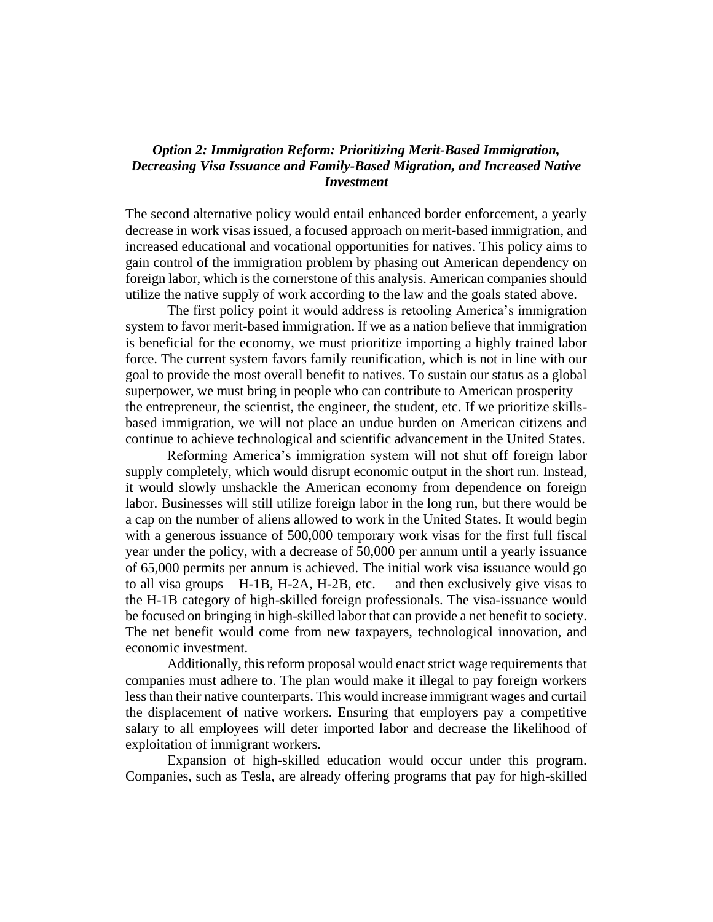## *Option 2: Immigration Reform: Prioritizing Merit-Based Immigration, Decreasing Visa Issuance and Family-Based Migration, and Increased Native Investment*

The second alternative policy would entail enhanced border enforcement, a yearly decrease in work visas issued, a focused approach on merit-based immigration, and increased educational and vocational opportunities for natives. This policy aims to gain control of the immigration problem by phasing out American dependency on foreign labor, which is the cornerstone of this analysis. American companies should utilize the native supply of work according to the law and the goals stated above.

The first policy point it would address is retooling America's immigration system to favor merit-based immigration. If we as a nation believe that immigration is beneficial for the economy, we must prioritize importing a highly trained labor force. The current system favors family reunification, which is not in line with our goal to provide the most overall benefit to natives. To sustain our status as a global superpower, we must bring in people who can contribute to American prosperity the entrepreneur, the scientist, the engineer, the student, etc. If we prioritize skillsbased immigration, we will not place an undue burden on American citizens and continue to achieve technological and scientific advancement in the United States.

Reforming America's immigration system will not shut off foreign labor supply completely, which would disrupt economic output in the short run. Instead, it would slowly unshackle the American economy from dependence on foreign labor. Businesses will still utilize foreign labor in the long run, but there would be a cap on the number of aliens allowed to work in the United States. It would begin with a generous issuance of 500,000 temporary work visas for the first full fiscal year under the policy, with a decrease of 50,000 per annum until a yearly issuance of 65,000 permits per annum is achieved. The initial work visa issuance would go to all visa groups – H-1B, H-2A, H-2B, etc. – and then exclusively give visas to the H-1B category of high-skilled foreign professionals. The visa-issuance would be focused on bringing in high-skilled labor that can provide a net benefit to society. The net benefit would come from new taxpayers, technological innovation, and economic investment.

Additionally, this reform proposal would enact strict wage requirements that companies must adhere to. The plan would make it illegal to pay foreign workers less than their native counterparts. This would increase immigrant wages and curtail the displacement of native workers. Ensuring that employers pay a competitive salary to all employees will deter imported labor and decrease the likelihood of exploitation of immigrant workers.

Expansion of high-skilled education would occur under this program. Companies, such as Tesla, are already offering programs that pay for high-skilled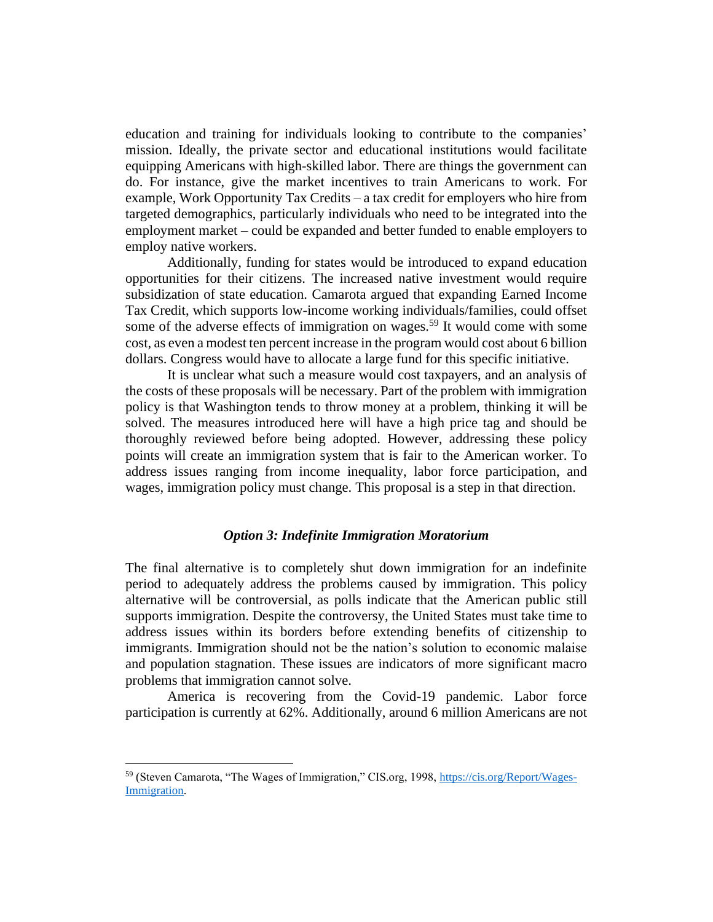education and training for individuals looking to contribute to the companies' mission. Ideally, the private sector and educational institutions would facilitate equipping Americans with high-skilled labor. There are things the government can do. For instance, give the market incentives to train Americans to work. For example, Work Opportunity Tax Credits – a tax credit for employers who hire from targeted demographics, particularly individuals who need to be integrated into the employment market – could be expanded and better funded to enable employers to employ native workers.

Additionally, funding for states would be introduced to expand education opportunities for their citizens. The increased native investment would require subsidization of state education. Camarota argued that expanding Earned Income Tax Credit, which supports low-income working individuals/families, could offset some of the adverse effects of immigration on wages.<sup>59</sup> It would come with some cost, as even a modest ten percent increase in the program would cost about 6 billion dollars. Congress would have to allocate a large fund for this specific initiative.

It is unclear what such a measure would cost taxpayers, and an analysis of the costs of these proposals will be necessary. Part of the problem with immigration policy is that Washington tends to throw money at a problem, thinking it will be solved. The measures introduced here will have a high price tag and should be thoroughly reviewed before being adopted. However, addressing these policy points will create an immigration system that is fair to the American worker. To address issues ranging from income inequality, labor force participation, and wages, immigration policy must change. This proposal is a step in that direction.

### *Option 3: Indefinite Immigration Moratorium*

The final alternative is to completely shut down immigration for an indefinite period to adequately address the problems caused by immigration. This policy alternative will be controversial, as polls indicate that the American public still supports immigration. Despite the controversy, the United States must take time to address issues within its borders before extending benefits of citizenship to immigrants. Immigration should not be the nation's solution to economic malaise and population stagnation. These issues are indicators of more significant macro problems that immigration cannot solve.

America is recovering from the Covid-19 pandemic. Labor force participation is currently at 62%. Additionally, around 6 million Americans are not

<sup>59</sup> (Steven Camarota, "The Wages of Immigration," CIS.org, 1998, [https://cis.org/Report/Wages-](https://cis.org/Report/Wages-Immigration)[Immigration.](https://cis.org/Report/Wages-Immigration)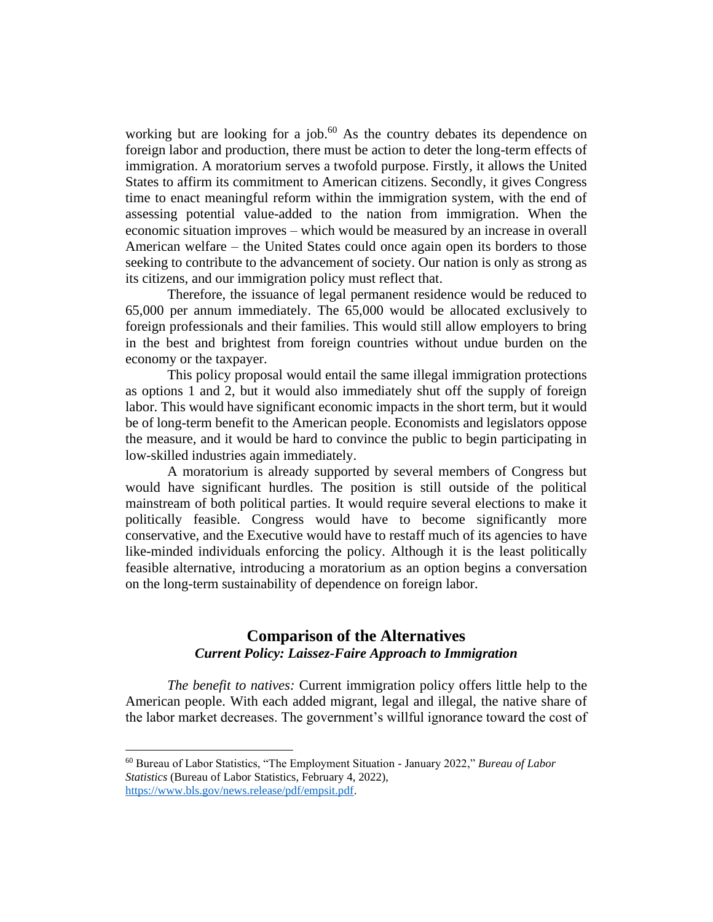working but are looking for a job.<sup>60</sup> As the country debates its dependence on foreign labor and production, there must be action to deter the long-term effects of immigration. A moratorium serves a twofold purpose. Firstly, it allows the United States to affirm its commitment to American citizens. Secondly, it gives Congress time to enact meaningful reform within the immigration system, with the end of assessing potential value-added to the nation from immigration. When the economic situation improves – which would be measured by an increase in overall American welfare – the United States could once again open its borders to those seeking to contribute to the advancement of society. Our nation is only as strong as its citizens, and our immigration policy must reflect that.

Therefore, the issuance of legal permanent residence would be reduced to 65,000 per annum immediately. The 65,000 would be allocated exclusively to foreign professionals and their families. This would still allow employers to bring in the best and brightest from foreign countries without undue burden on the economy or the taxpayer.

This policy proposal would entail the same illegal immigration protections as options 1 and 2, but it would also immediately shut off the supply of foreign labor. This would have significant economic impacts in the short term, but it would be of long-term benefit to the American people. Economists and legislators oppose the measure, and it would be hard to convince the public to begin participating in low-skilled industries again immediately.

A moratorium is already supported by several members of Congress but would have significant hurdles. The position is still outside of the political mainstream of both political parties. It would require several elections to make it politically feasible. Congress would have to become significantly more conservative, and the Executive would have to restaff much of its agencies to have like-minded individuals enforcing the policy. Although it is the least politically feasible alternative, introducing a moratorium as an option begins a conversation on the long-term sustainability of dependence on foreign labor.

# **Comparison of the Alternatives** *Current Policy: Laissez-Faire Approach to Immigration*

*The benefit to natives:* Current immigration policy offers little help to the American people. With each added migrant, legal and illegal, the native share of the labor market decreases. The government's willful ignorance toward the cost of

<sup>60</sup> Bureau of Labor Statistics, "The Employment Situation - January 2022," *Bureau of Labor Statistics* (Bureau of Labor Statistics, February 4, 2022), [https://www.bls.gov/news.release/pdf/empsit.pdf.](https://www.bls.gov/news.release/pdf/empsit.pdf)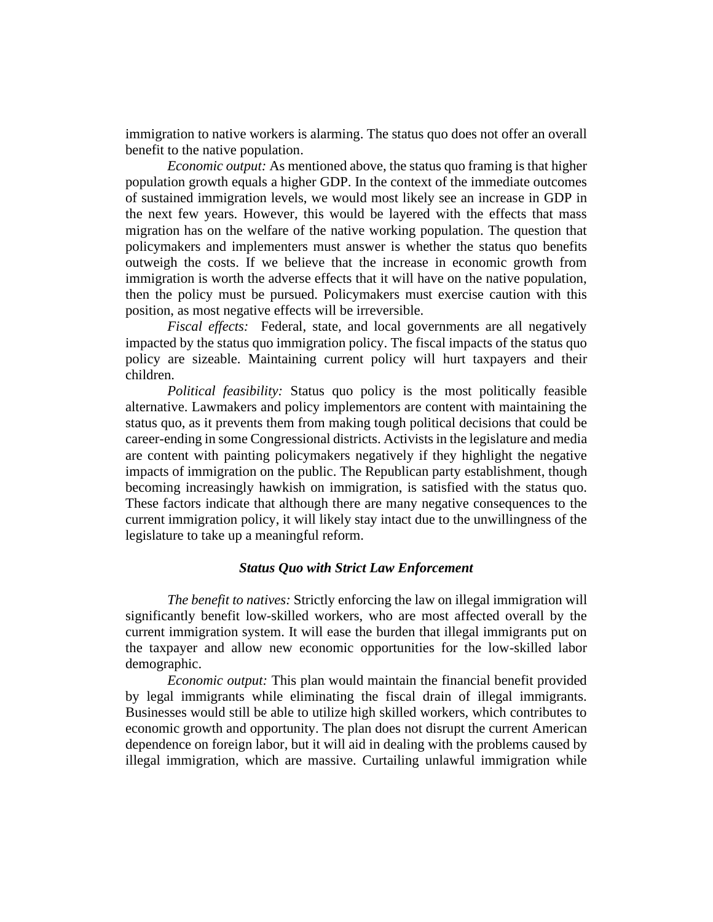immigration to native workers is alarming. The status quo does not offer an overall benefit to the native population.

*Economic output:* As mentioned above, the status quo framing is that higher population growth equals a higher GDP. In the context of the immediate outcomes of sustained immigration levels, we would most likely see an increase in GDP in the next few years. However, this would be layered with the effects that mass migration has on the welfare of the native working population. The question that policymakers and implementers must answer is whether the status quo benefits outweigh the costs. If we believe that the increase in economic growth from immigration is worth the adverse effects that it will have on the native population, then the policy must be pursued. Policymakers must exercise caution with this position, as most negative effects will be irreversible.

*Fiscal effects:* Federal, state, and local governments are all negatively impacted by the status quo immigration policy. The fiscal impacts of the status quo policy are sizeable. Maintaining current policy will hurt taxpayers and their children.

*Political feasibility:* Status quo policy is the most politically feasible alternative. Lawmakers and policy implementors are content with maintaining the status quo, as it prevents them from making tough political decisions that could be career-ending in some Congressional districts. Activists in the legislature and media are content with painting policymakers negatively if they highlight the negative impacts of immigration on the public. The Republican party establishment, though becoming increasingly hawkish on immigration, is satisfied with the status quo. These factors indicate that although there are many negative consequences to the current immigration policy, it will likely stay intact due to the unwillingness of the legislature to take up a meaningful reform.

## *Status Quo with Strict Law Enforcement*

*The benefit to natives:* Strictly enforcing the law on illegal immigration will significantly benefit low-skilled workers, who are most affected overall by the current immigration system. It will ease the burden that illegal immigrants put on the taxpayer and allow new economic opportunities for the low-skilled labor demographic.

*Economic output:* This plan would maintain the financial benefit provided by legal immigrants while eliminating the fiscal drain of illegal immigrants. Businesses would still be able to utilize high skilled workers, which contributes to economic growth and opportunity. The plan does not disrupt the current American dependence on foreign labor, but it will aid in dealing with the problems caused by illegal immigration, which are massive. Curtailing unlawful immigration while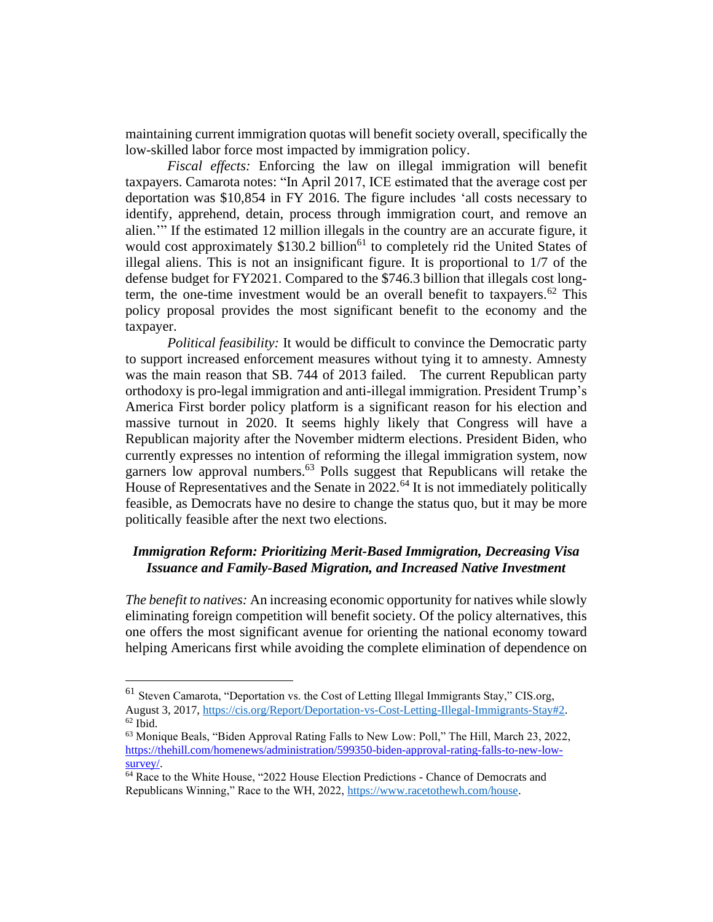maintaining current immigration quotas will benefit society overall, specifically the low-skilled labor force most impacted by immigration policy.

*Fiscal effects:* Enforcing the law on illegal immigration will benefit taxpayers. Camarota notes: "In April 2017, ICE estimated that the average cost per deportation was \$10,854 in FY 2016. The figure includes 'all costs necessary to identify, apprehend, detain, process through immigration court, and remove an alien.'" If the estimated 12 million illegals in the country are an accurate figure, it would cost approximately  $$130.2$  billion<sup>61</sup> to completely rid the United States of illegal aliens. This is not an insignificant figure. It is proportional to 1/7 of the defense budget for FY2021. Compared to the \$746.3 billion that illegals cost longterm, the one-time investment would be an overall benefit to taxpayers.<sup>62</sup> This policy proposal provides the most significant benefit to the economy and the taxpayer.

*Political feasibility:* It would be difficult to convince the Democratic party to support increased enforcement measures without tying it to amnesty. Amnesty was the main reason that SB. 744 of 2013 failed. The current Republican party orthodoxy is pro-legal immigration and anti-illegal immigration. President Trump's America First border policy platform is a significant reason for his election and massive turnout in 2020. It seems highly likely that Congress will have a Republican majority after the November midterm elections. President Biden, who currently expresses no intention of reforming the illegal immigration system, now garners low approval numbers.<sup>63</sup> Polls suggest that Republicans will retake the House of Representatives and the Senate in  $2022$ .<sup>64</sup> It is not immediately politically feasible, as Democrats have no desire to change the status quo, but it may be more politically feasible after the next two elections.

# *Immigration Reform: Prioritizing Merit-Based Immigration, Decreasing Visa Issuance and Family-Based Migration, and Increased Native Investment*

*The benefit to natives:* An increasing economic opportunity for natives while slowly eliminating foreign competition will benefit society. Of the policy alternatives, this one offers the most significant avenue for orienting the national economy toward helping Americans first while avoiding the complete elimination of dependence on

<sup>61</sup> Steven Camarota, "Deportation vs. the Cost of Letting Illegal Immigrants Stay," CIS.org, August 3, 2017, [https://cis.org/Report/Deportation-vs-Cost-Letting-Illegal-Immigrants-Stay#2.](https://cis.org/Report/Deportation-vs-Cost-Letting-Illegal-Immigrants-Stay#2)  $62$  Ibid.

<sup>63</sup> Monique Beals, "Biden Approval Rating Falls to New Low: Poll," The Hill, March 23, 2022, [https://thehill.com/homenews/administration/599350-biden-approval-rating-falls-to-new-low](https://thehill.com/homenews/administration/599350-biden-approval-rating-falls-to-new-low-survey/)[survey/.](https://thehill.com/homenews/administration/599350-biden-approval-rating-falls-to-new-low-survey/)

<sup>64</sup> Race to the White House, "2022 House Election Predictions - Chance of Democrats and Republicans Winning," Race to the WH, 2022, [https://www.racetothewh.com/house.](https://www.racetothewh.com/house)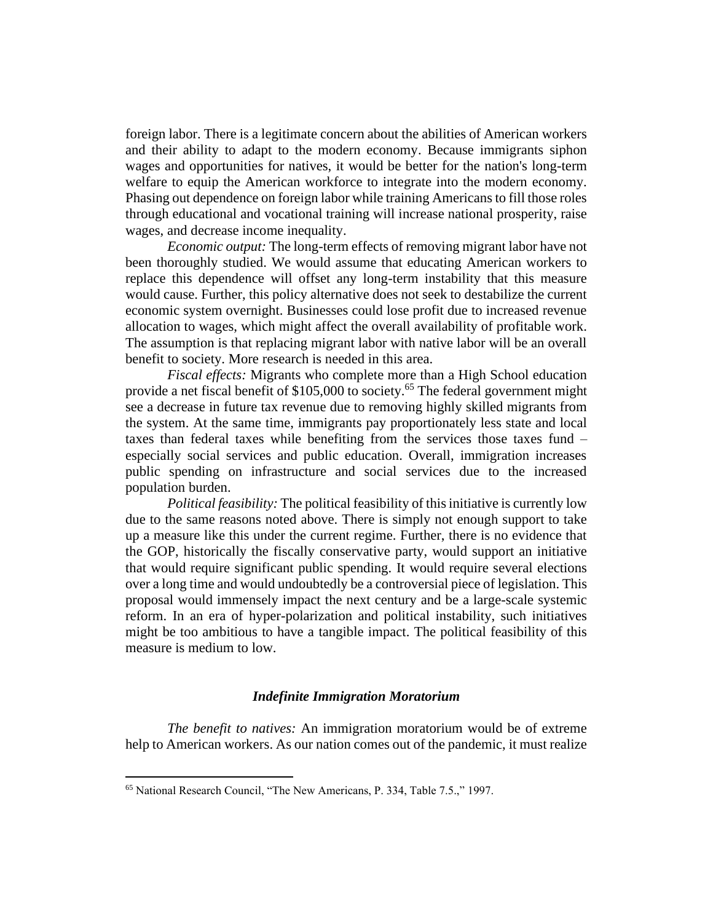foreign labor. There is a legitimate concern about the abilities of American workers and their ability to adapt to the modern economy. Because immigrants siphon wages and opportunities for natives, it would be better for the nation's long-term welfare to equip the American workforce to integrate into the modern economy. Phasing out dependence on foreign labor while training Americans to fill those roles through educational and vocational training will increase national prosperity, raise wages, and decrease income inequality.

*Economic output:* The long-term effects of removing migrant labor have not been thoroughly studied. We would assume that educating American workers to replace this dependence will offset any long-term instability that this measure would cause. Further, this policy alternative does not seek to destabilize the current economic system overnight. Businesses could lose profit due to increased revenue allocation to wages, which might affect the overall availability of profitable work. The assumption is that replacing migrant labor with native labor will be an overall benefit to society. More research is needed in this area.

*Fiscal effects:* Migrants who complete more than a High School education provide a net fiscal benefit of \$105,000 to society.<sup>65</sup> The federal government might see a decrease in future tax revenue due to removing highly skilled migrants from the system. At the same time, immigrants pay proportionately less state and local taxes than federal taxes while benefiting from the services those taxes fund – especially social services and public education. Overall, immigration increases public spending on infrastructure and social services due to the increased population burden.

*Political feasibility:* The political feasibility of this initiative is currently low due to the same reasons noted above. There is simply not enough support to take up a measure like this under the current regime. Further, there is no evidence that the GOP, historically the fiscally conservative party, would support an initiative that would require significant public spending. It would require several elections over a long time and would undoubtedly be a controversial piece of legislation. This proposal would immensely impact the next century and be a large-scale systemic reform. In an era of hyper-polarization and political instability, such initiatives might be too ambitious to have a tangible impact. The political feasibility of this measure is medium to low.

## *Indefinite Immigration Moratorium*

*The benefit to natives:* An immigration moratorium would be of extreme help to American workers. As our nation comes out of the pandemic, it must realize

<sup>65</sup> National Research Council, "The New Americans, P. 334, Table 7.5.," 1997.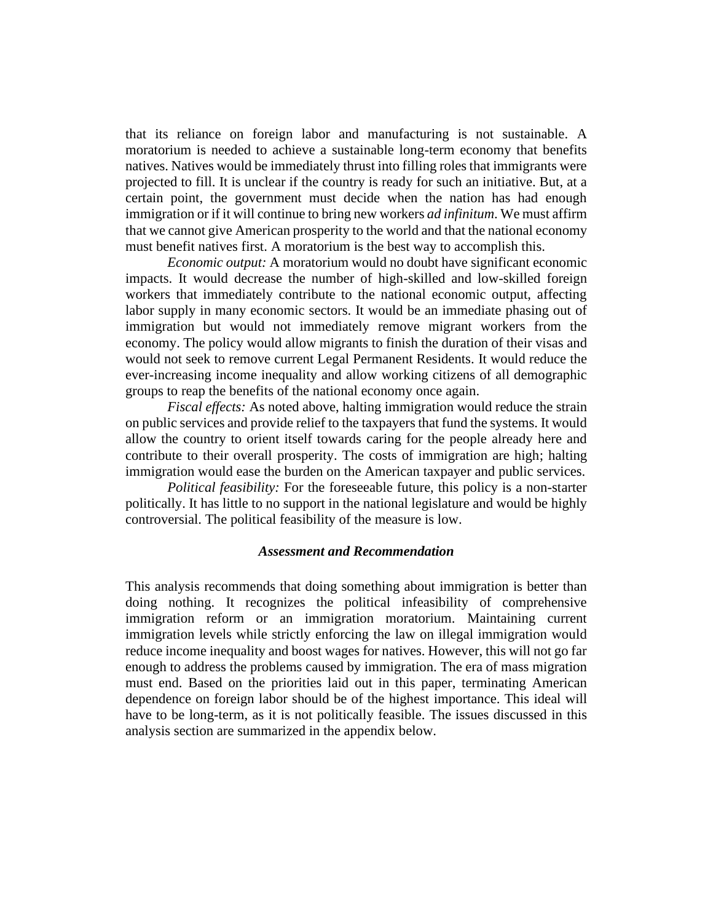that its reliance on foreign labor and manufacturing is not sustainable. A moratorium is needed to achieve a sustainable long-term economy that benefits natives. Natives would be immediately thrust into filling roles that immigrants were projected to fill. It is unclear if the country is ready for such an initiative. But, at a certain point, the government must decide when the nation has had enough immigration or if it will continue to bring new workers *ad infinitum*. We must affirm that we cannot give American prosperity to the world and that the national economy must benefit natives first. A moratorium is the best way to accomplish this.

*Economic output:* A moratorium would no doubt have significant economic impacts. It would decrease the number of high-skilled and low-skilled foreign workers that immediately contribute to the national economic output, affecting labor supply in many economic sectors. It would be an immediate phasing out of immigration but would not immediately remove migrant workers from the economy. The policy would allow migrants to finish the duration of their visas and would not seek to remove current Legal Permanent Residents. It would reduce the ever-increasing income inequality and allow working citizens of all demographic groups to reap the benefits of the national economy once again.

*Fiscal effects:* As noted above, halting immigration would reduce the strain on public services and provide relief to the taxpayers that fund the systems. It would allow the country to orient itself towards caring for the people already here and contribute to their overall prosperity. The costs of immigration are high; halting immigration would ease the burden on the American taxpayer and public services.

*Political feasibility:* For the foreseeable future, this policy is a non-starter politically. It has little to no support in the national legislature and would be highly controversial. The political feasibility of the measure is low.

### *Assessment and Recommendation*

This analysis recommends that doing something about immigration is better than doing nothing. It recognizes the political infeasibility of comprehensive immigration reform or an immigration moratorium. Maintaining current immigration levels while strictly enforcing the law on illegal immigration would reduce income inequality and boost wages for natives. However, this will not go far enough to address the problems caused by immigration. The era of mass migration must end. Based on the priorities laid out in this paper, terminating American dependence on foreign labor should be of the highest importance. This ideal will have to be long-term, as it is not politically feasible. The issues discussed in this analysis section are summarized in the appendix below.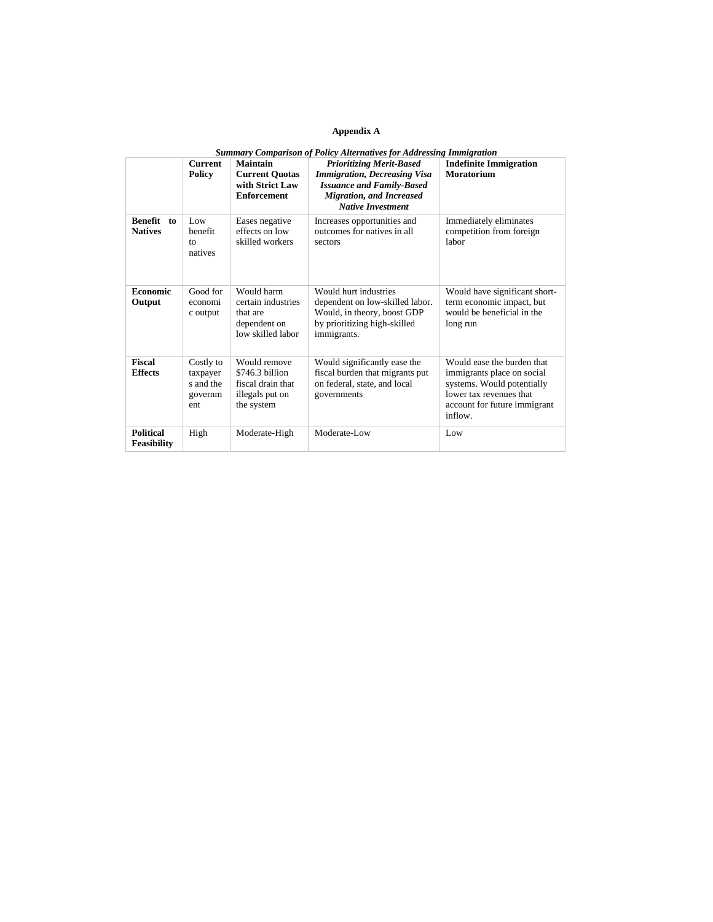#### **Appendix A**

| <b>Summary Comparison of Policy Alternatives for Addressing Immigration</b> |                                                      |                                                                                       |                                                                                                                                                                           |                                                                                                                                                              |
|-----------------------------------------------------------------------------|------------------------------------------------------|---------------------------------------------------------------------------------------|---------------------------------------------------------------------------------------------------------------------------------------------------------------------------|--------------------------------------------------------------------------------------------------------------------------------------------------------------|
|                                                                             | <b>Current</b><br><b>Policy</b>                      | Maintain<br><b>Current Quotas</b><br>with Strict Law<br><b>Enforcement</b>            | <b>Prioritizing Merit-Based</b><br><b>Immigration, Decreasing Visa</b><br><b>Issuance and Family-Based</b><br><b>Migration, and Increased</b><br><b>Native Investment</b> | <b>Indefinite Immigration</b><br>Moratorium                                                                                                                  |
| <b>Benefit</b><br>to<br><b>Natives</b>                                      | Low.<br>benefit<br>to<br>natives                     | Eases negative<br>effects on low<br>skilled workers                                   | Increases opportunities and<br>outcomes for natives in all<br>sectors                                                                                                     | Immediately eliminates<br>competition from foreign<br>labor                                                                                                  |
| <b>Economic</b><br>Output                                                   | Good for<br>economi<br>c output                      | Would harm<br>certain industries<br>that are<br>dependent on<br>low skilled labor     | Would burt industries<br>dependent on low-skilled labor.<br>Would, in theory, boost GDP<br>by prioritizing high-skilled<br>immigrants.                                    | Would have significant short-<br>term economic impact, but<br>would be beneficial in the<br>long run                                                         |
| <b>Fiscal</b><br><b>Effects</b>                                             | Costly to<br>taxpayer<br>s and the<br>governm<br>ent | Would remove<br>\$746.3 billion<br>fiscal drain that<br>illegals put on<br>the system | Would significantly ease the<br>fiscal burden that migrants put<br>on federal, state, and local<br>governments                                                            | Would ease the burden that<br>immigrants place on social<br>systems. Would potentially<br>lower tax revenues that<br>account for future immigrant<br>inflow. |
| <b>Political</b><br><b>Feasibility</b>                                      | High                                                 | Moderate-High                                                                         | Moderate-Low                                                                                                                                                              | Low                                                                                                                                                          |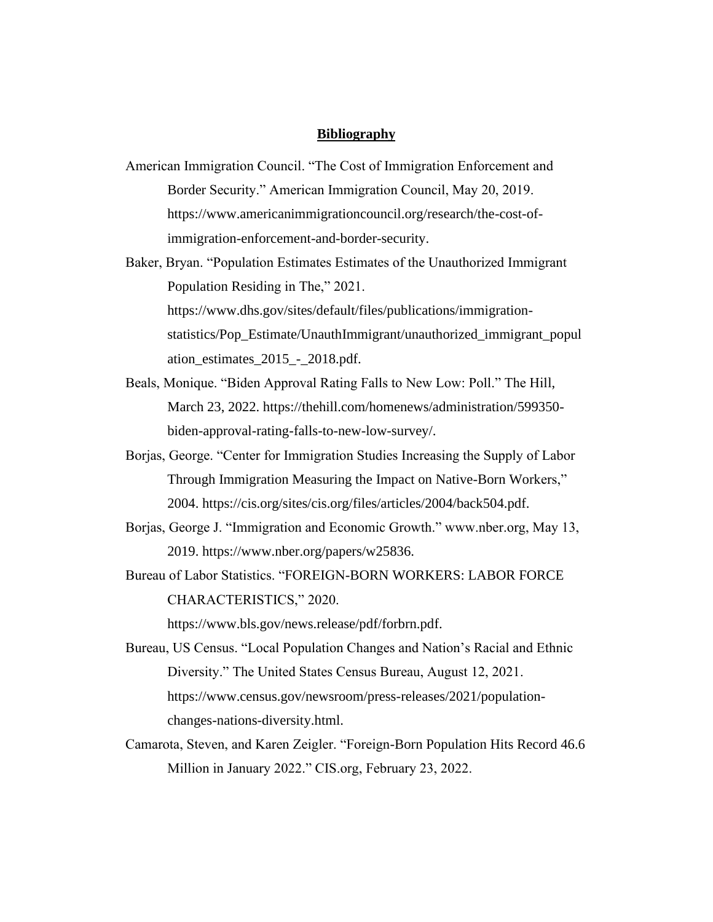## **Bibliography**

- American Immigration Council. "The Cost of Immigration Enforcement and Border Security." American Immigration Council, May 20, 2019. https://www.americanimmigrationcouncil.org/research/the-cost-ofimmigration-enforcement-and-border-security.
- Baker, Bryan. "Population Estimates Estimates of the Unauthorized Immigrant Population Residing in The," 2021. https://www.dhs.gov/sites/default/files/publications/immigrationstatistics/Pop\_Estimate/UnauthImmigrant/unauthorized\_immigrant\_popul ation\_estimates\_2015\_-\_2018.pdf.
- Beals, Monique. "Biden Approval Rating Falls to New Low: Poll." The Hill, March 23, 2022. https://thehill.com/homenews/administration/599350 biden-approval-rating-falls-to-new-low-survey/.
- Borjas, George. "Center for Immigration Studies Increasing the Supply of Labor Through Immigration Measuring the Impact on Native-Born Workers," 2004. https://cis.org/sites/cis.org/files/articles/2004/back504.pdf.
- Borjas, George J. "Immigration and Economic Growth." www.nber.org, May 13, 2019. https://www.nber.org/papers/w25836.
- Bureau of Labor Statistics. "FOREIGN-BORN WORKERS: LABOR FORCE CHARACTERISTICS," 2020.

https://www.bls.gov/news.release/pdf/forbrn.pdf.

- Bureau, US Census. "Local Population Changes and Nation's Racial and Ethnic Diversity." The United States Census Bureau, August 12, 2021. https://www.census.gov/newsroom/press-releases/2021/populationchanges-nations-diversity.html.
- Camarota, Steven, and Karen Zeigler. "Foreign-Born Population Hits Record 46.6 Million in January 2022." CIS.org, February 23, 2022.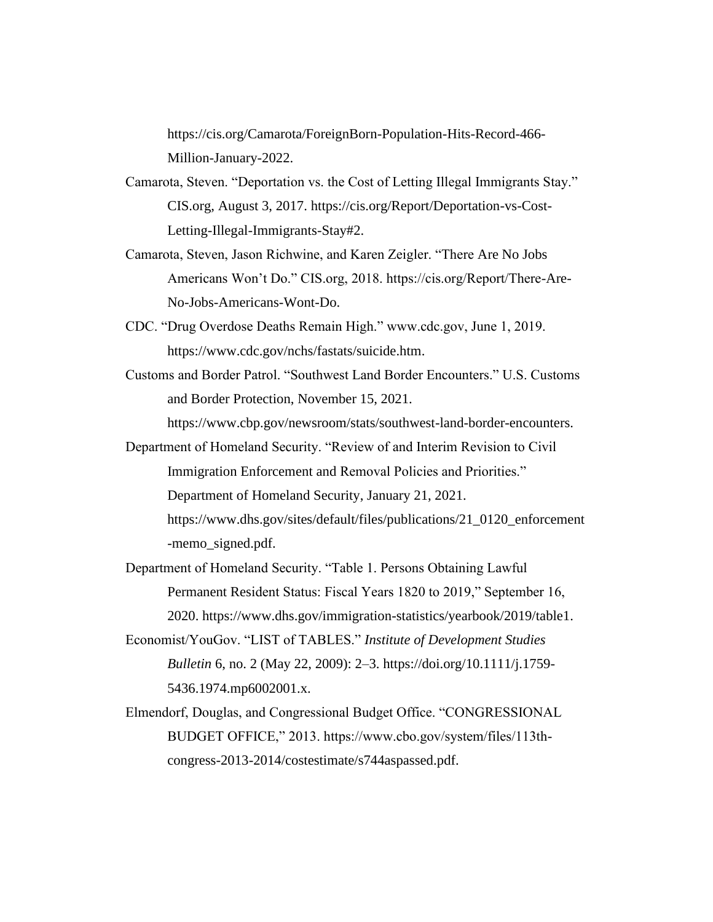https://cis.org/Camarota/ForeignBorn-Population-Hits-Record-466- Million-January-2022.

- Camarota, Steven. "Deportation vs. the Cost of Letting Illegal Immigrants Stay." CIS.org, August 3, 2017. https://cis.org/Report/Deportation-vs-Cost-Letting-Illegal-Immigrants-Stay#2.
- Camarota, Steven, Jason Richwine, and Karen Zeigler. "There Are No Jobs Americans Won't Do." CIS.org, 2018. https://cis.org/Report/There-Are-No-Jobs-Americans-Wont-Do.
- CDC. "Drug Overdose Deaths Remain High." www.cdc.gov, June 1, 2019. https://www.cdc.gov/nchs/fastats/suicide.htm.
- Customs and Border Patrol. "Southwest Land Border Encounters." U.S. Customs and Border Protection, November 15, 2021.

https://www.cbp.gov/newsroom/stats/southwest-land-border-encounters.

- Department of Homeland Security. "Review of and Interim Revision to Civil Immigration Enforcement and Removal Policies and Priorities." Department of Homeland Security, January 21, 2021. https://www.dhs.gov/sites/default/files/publications/21\_0120\_enforcement -memo\_signed.pdf.
- Department of Homeland Security. "Table 1. Persons Obtaining Lawful Permanent Resident Status: Fiscal Years 1820 to 2019," September 16, 2020. https://www.dhs.gov/immigration-statistics/yearbook/2019/table1.
- Economist/YouGov. "LIST of TABLES." *Institute of Development Studies Bulletin* 6, no. 2 (May 22, 2009): 2–3. https://doi.org/10.1111/j.1759- 5436.1974.mp6002001.x.
- Elmendorf, Douglas, and Congressional Budget Office. "CONGRESSIONAL BUDGET OFFICE," 2013. https://www.cbo.gov/system/files/113thcongress-2013-2014/costestimate/s744aspassed.pdf.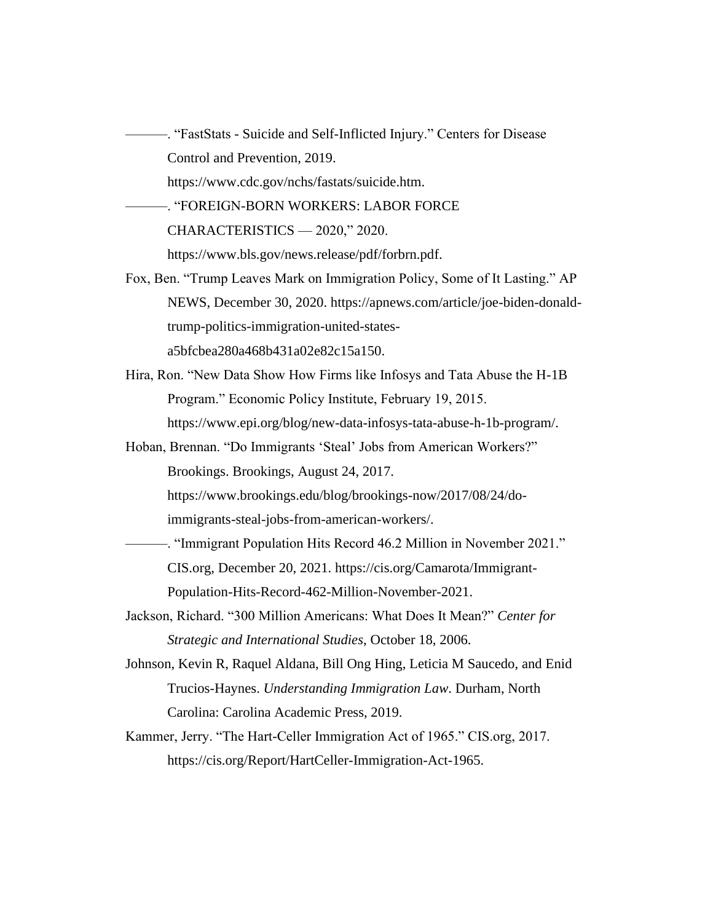———. "FastStats - Suicide and Self-Inflicted Injury." Centers for Disease Control and Prevention, 2019. https://www.cdc.gov/nchs/fastats/suicide.htm.

———. "FOREIGN-BORN WORKERS: LABOR FORCE

CHARACTERISTICS — 2020," 2020.

https://www.bls.gov/news.release/pdf/forbrn.pdf.

- Fox, Ben. "Trump Leaves Mark on Immigration Policy, Some of It Lasting." AP NEWS, December 30, 2020. https://apnews.com/article/joe-biden-donaldtrump-politics-immigration-united-statesa5bfcbea280a468b431a02e82c15a150.
- Hira, Ron. "New Data Show How Firms like Infosys and Tata Abuse the H-1B Program." Economic Policy Institute, February 19, 2015. https://www.epi.org/blog/new-data-infosys-tata-abuse-h-1b-program/.
- Hoban, Brennan. "Do Immigrants 'Steal' Jobs from American Workers?" Brookings. Brookings, August 24, 2017.

https://www.brookings.edu/blog/brookings-now/2017/08/24/do-

immigrants-steal-jobs-from-american-workers/.

- ———. "Immigrant Population Hits Record 46.2 Million in November 2021." CIS.org, December 20, 2021. https://cis.org/Camarota/Immigrant-Population-Hits-Record-462-Million-November-2021.
- Jackson, Richard. "300 Million Americans: What Does It Mean?" *Center for Strategic and International Studies*, October 18, 2006.
- Johnson, Kevin R, Raquel Aldana, Bill Ong Hing, Leticia M Saucedo, and Enid Trucios-Haynes. *Understanding Immigration Law*. Durham, North Carolina: Carolina Academic Press, 2019.
- Kammer, Jerry. "The Hart-Celler Immigration Act of 1965." CIS.org, 2017. https://cis.org/Report/HartCeller-Immigration-Act-1965.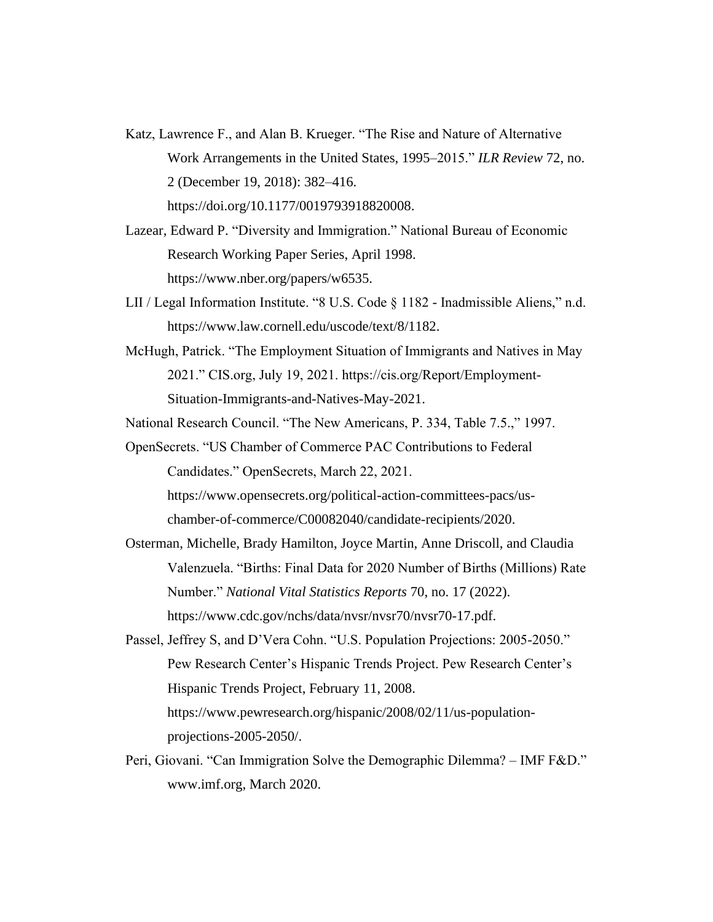- Katz, Lawrence F., and Alan B. Krueger. "The Rise and Nature of Alternative Work Arrangements in the United States, 1995–2015." *ILR Review* 72, no. 2 (December 19, 2018): 382–416. https://doi.org/10.1177/0019793918820008.
- Lazear, Edward P. "Diversity and Immigration." National Bureau of Economic Research Working Paper Series, April 1998. https://www.nber.org/papers/w6535.
- LII / Legal Information Institute. "8 U.S. Code § 1182 Inadmissible Aliens," n.d. https://www.law.cornell.edu/uscode/text/8/1182.
- McHugh, Patrick. "The Employment Situation of Immigrants and Natives in May 2021." CIS.org, July 19, 2021. https://cis.org/Report/Employment-Situation-Immigrants-and-Natives-May-2021.

National Research Council. "The New Americans, P. 334, Table 7.5.," 1997.

OpenSecrets. "US Chamber of Commerce PAC Contributions to Federal Candidates." OpenSecrets, March 22, 2021.

https://www.opensecrets.org/political-action-committees-pacs/uschamber-of-commerce/C00082040/candidate-recipients/2020.

- Osterman, Michelle, Brady Hamilton, Joyce Martin, Anne Driscoll, and Claudia Valenzuela. "Births: Final Data for 2020 Number of Births (Millions) Rate Number." *National Vital Statistics Reports* 70, no. 17 (2022). https://www.cdc.gov/nchs/data/nvsr/nvsr70/nvsr70-17.pdf.
- Passel, Jeffrey S, and D'Vera Cohn. "U.S. Population Projections: 2005-2050." Pew Research Center's Hispanic Trends Project. Pew Research Center's Hispanic Trends Project, February 11, 2008. https://www.pewresearch.org/hispanic/2008/02/11/us-populationprojections-2005-2050/.
- Peri, Giovani. "Can Immigration Solve the Demographic Dilemma? IMF F&D." www.imf.org, March 2020.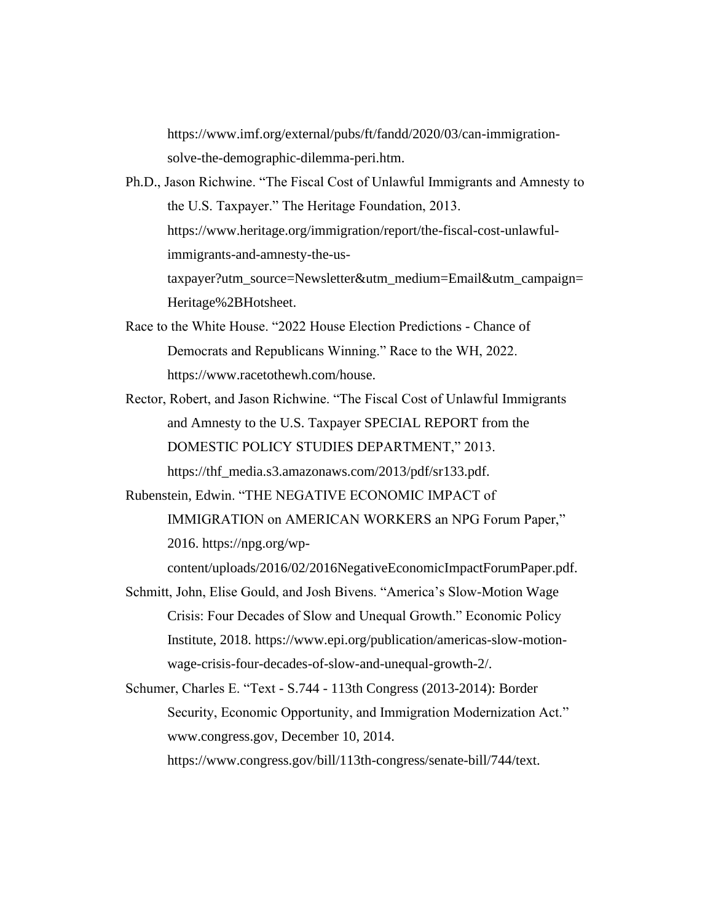https://www.imf.org/external/pubs/ft/fandd/2020/03/can-immigrationsolve-the-demographic-dilemma-peri.htm.

- Ph.D., Jason Richwine. "The Fiscal Cost of Unlawful Immigrants and Amnesty to the U.S. Taxpayer." The Heritage Foundation, 2013. https://www.heritage.org/immigration/report/the-fiscal-cost-unlawfulimmigrants-and-amnesty-the-ustaxpayer?utm\_source=Newsletter&utm\_medium=Email&utm\_campaign= Heritage%2BHotsheet.
- Race to the White House. "2022 House Election Predictions Chance of Democrats and Republicans Winning." Race to the WH, 2022. https://www.racetothewh.com/house.
- Rector, Robert, and Jason Richwine. "The Fiscal Cost of Unlawful Immigrants and Amnesty to the U.S. Taxpayer SPECIAL REPORT from the DOMESTIC POLICY STUDIES DEPARTMENT," 2013. https://thf\_media.s3.amazonaws.com/2013/pdf/sr133.pdf.
- Rubenstein, Edwin. "THE NEGATIVE ECONOMIC IMPACT of IMMIGRATION on AMERICAN WORKERS an NPG Forum Paper," 2016. https://npg.org/wpcontent/uploads/2016/02/2016NegativeEconomicImpactForumPaper.pdf.
- Schmitt, John, Elise Gould, and Josh Bivens. "America's Slow-Motion Wage Crisis: Four Decades of Slow and Unequal Growth." Economic Policy Institute, 2018. https://www.epi.org/publication/americas-slow-motionwage-crisis-four-decades-of-slow-and-unequal-growth-2/.
- Schumer, Charles E. "Text S.744 113th Congress (2013-2014): Border Security, Economic Opportunity, and Immigration Modernization Act." www.congress.gov, December 10, 2014. https://www.congress.gov/bill/113th-congress/senate-bill/744/text.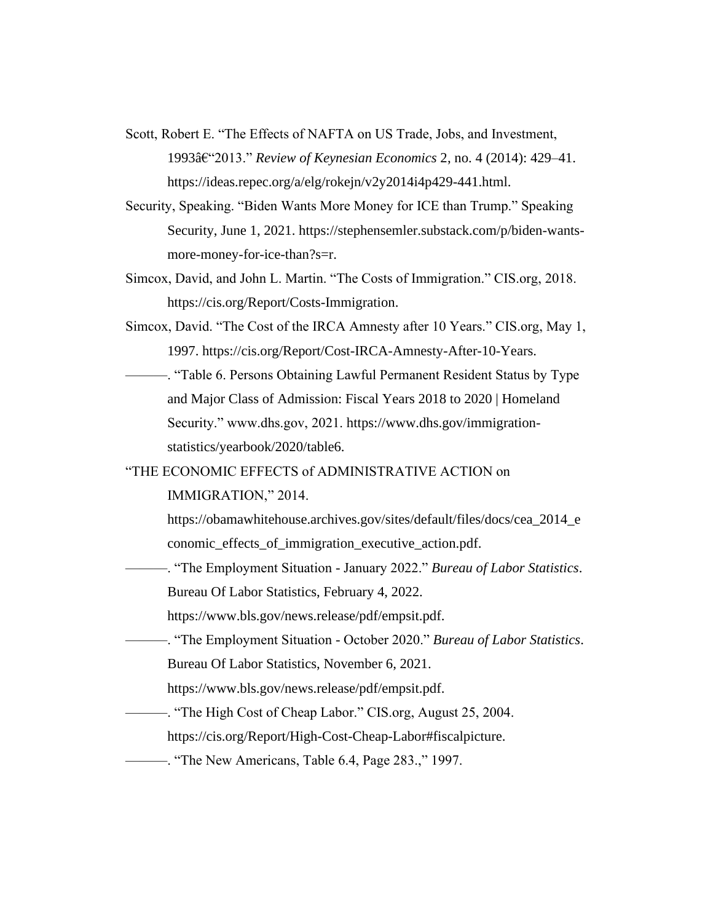- Scott, Robert E. "The Effects of NAFTA on US Trade, Jobs, and Investment, 1993–2013." *Review of Keynesian Economics* 2, no. 4 (2014): 429–41. https://ideas.repec.org/a/elg/rokejn/v2y2014i4p429-441.html.
- Security, Speaking. "Biden Wants More Money for ICE than Trump." Speaking Security, June 1, 2021. https://stephensemler.substack.com/p/biden-wantsmore-money-for-ice-than?s=r.
- Simcox, David, and John L. Martin. "The Costs of Immigration." CIS.org, 2018. https://cis.org/Report/Costs-Immigration.
- Simcox, David. "The Cost of the IRCA Amnesty after 10 Years." CIS.org, May 1, 1997. https://cis.org/Report/Cost-IRCA-Amnesty-After-10-Years.
- ———. "Table 6. Persons Obtaining Lawful Permanent Resident Status by Type and Major Class of Admission: Fiscal Years 2018 to 2020 | Homeland Security." www.dhs.gov, 2021. https://www.dhs.gov/immigrationstatistics/yearbook/2020/table6.
- "THE ECONOMIC EFFECTS of ADMINISTRATIVE ACTION on

IMMIGRATION," 2014.

- https://obamawhitehouse.archives.gov/sites/default/files/docs/cea\_2014\_e conomic\_effects\_of\_immigration\_executive\_action.pdf.
- ———. "The Employment Situation January 2022." *Bureau of Labor Statistics*. Bureau Of Labor Statistics, February 4, 2022.
	- https://www.bls.gov/news.release/pdf/empsit.pdf.
- ———. "The Employment Situation October 2020." *Bureau of Labor Statistics*. Bureau Of Labor Statistics, November 6, 2021.
	- https://www.bls.gov/news.release/pdf/empsit.pdf.
- ———. "The High Cost of Cheap Labor." CIS.org, August 25, 2004.
	- https://cis.org/Report/High-Cost-Cheap-Labor#fiscalpicture.
	- ———. "The New Americans, Table 6.4, Page 283.," 1997.